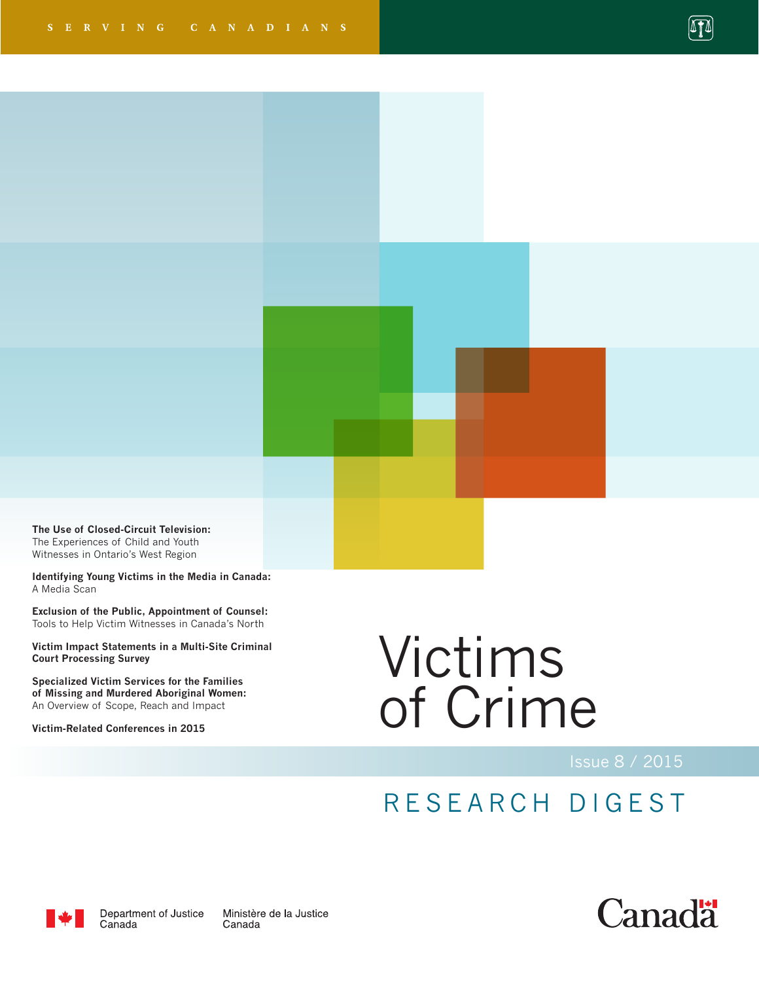

**The Use of Closed-Circuit Television:**  The Experiences of Child and Youth Witnesses in Ontario's West Region

**Identifying Young Victims in the Media in Canada:**  A Media Scan

**Exclusion of the Public, Appointment of Counsel:**  Tools to Help Victim Witnesses in Canada's North

**Victim Impact Statements in a Multi-Site Criminal Court Processing Survey**

**Specialized Victim Services for the Families of Missing and Murdered Aboriginal Women:** An Overview of Scope, Reach and Impact

**Victim-Related Conferences in 2015**

# Victims of Crime

## RESEARCH DIGEST



Department of Justice Canada

Ministère de la Justice Canada

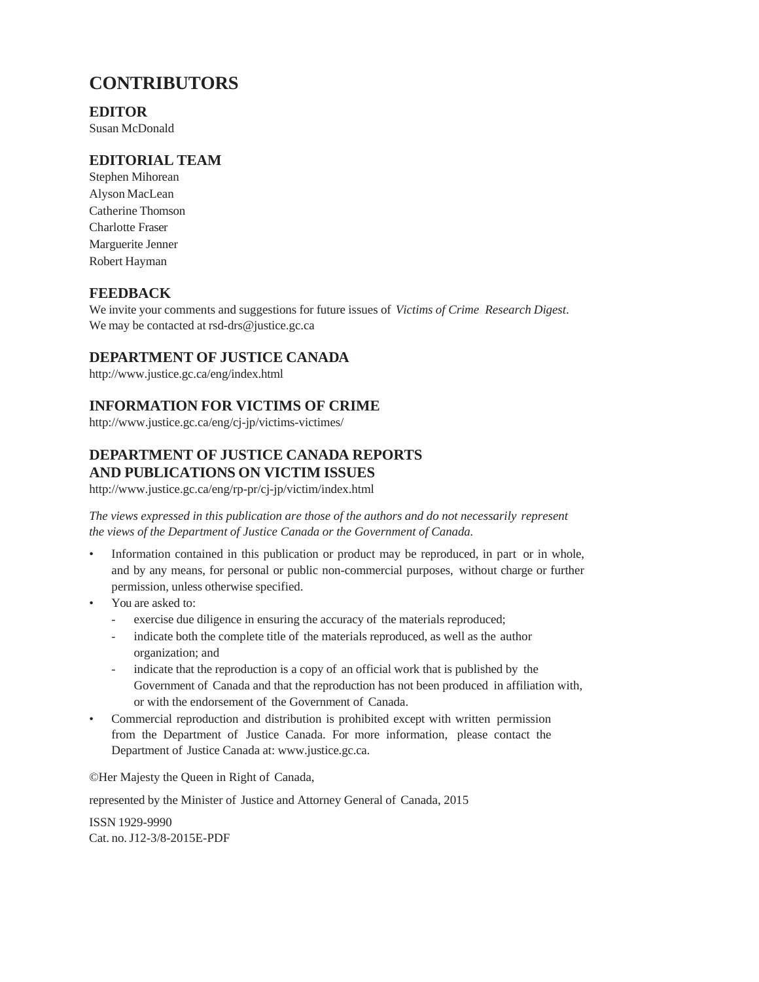### **CONTRIBUTORS**

### **EDITOR**

Susan McDonald

### **EDITORIAL TEAM**

Stephen Mihorean Alyson MacLean Catherine Thomson Charlotte Fraser Marguerite Jenner Robert Hayman

### **FEEDBACK**

We invite your comments and suggestions for future issues of *Victims of Crime Research Digest*. We may be contacted at rsd-drs@justice.gc.ca

### **DEPARTMENT OF JUSTICE CANADA**

<http://www.justice.gc.ca/eng/index.html>

### **INFORMATION FOR VICTIMS OF CRIME**

http://www.justice.gc.ca/eng/cj-jp/victims-victimes/

### **DEPARTMENT OF JUSTICE CANADA REPORTS AND PUBLICATIONS ON VICTIM ISSUES**

http://www.justice.gc.ca/eng/rp-pr/cj-jp/victim/index.html

*The views expressed in this publication are those of the authors and do not necessarily represent the views of the Department of Justice Canada or the Government of Canada.*

- Information contained in this publication or product may be reproduced, in part or in whole, and by any means, for personal or public non-commercial purposes, without charge or further permission, unless otherwise specified.
- You are asked to:
	- exercise due diligence in ensuring the accuracy of the materials reproduced;
	- indicate both the complete title of the materials reproduced, as well as the author organization; and
	- indicate that the reproduction is a copy of an official work that is published by the Government of Canada and that the reproduction has not been produced in affiliation with, or with the endorsement of the Government of Canada.
- Commercial reproduction and distribution is prohibited except with written permission from the Department of Justice Canada. For more information, please contact the Department of Justice Canada at: www.justice.gc.ca.

©Her Majesty the Queen in Right of Canada,

represented by the Minister of Justice and Attorney General of Canada, 2015

ISSN 1929-9990 Cat. no. J12-3/8-2015E-PDF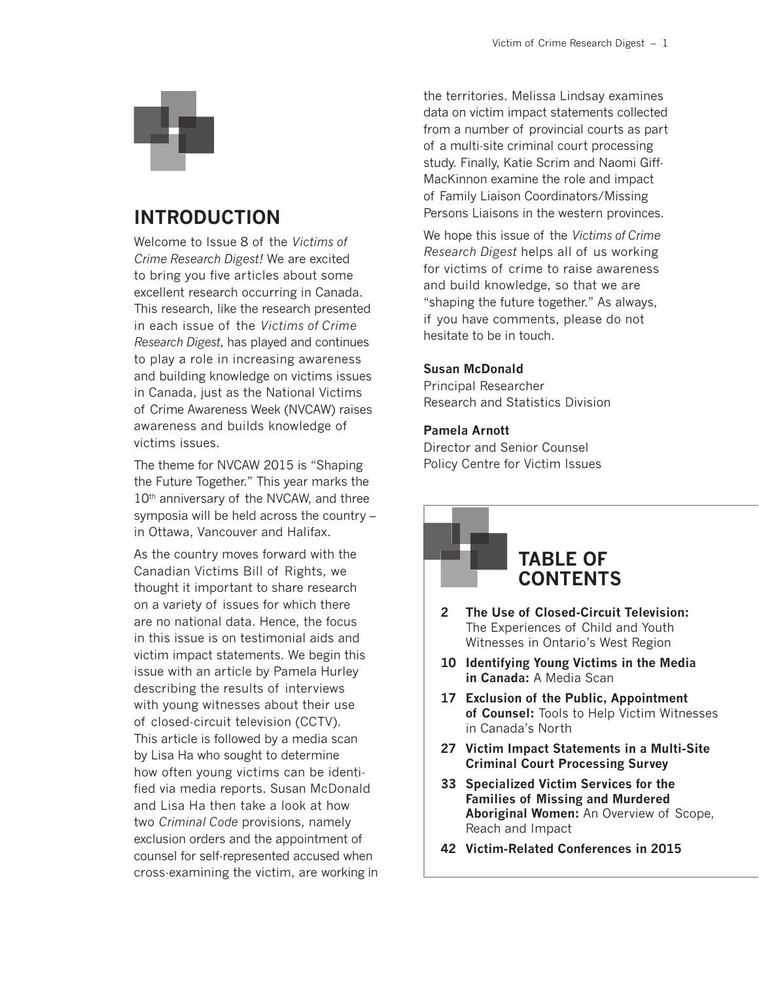

### **INTRODUCTION**

Welcome to Issue 8 of the *Victims of Crime Research Digest!* We are excited to bring you five articles about some excellent research occurring in Canada. This research, like the research presented in each issue of the *Victims of Crime Research Digest*, has played and continues to play a role in increasing awareness and building knowledge on victims issues in Canada, just as the National Victims of Crime Awareness Week (NVCAW) raises awareness and builds knowledge of victims issues.

The theme for NVCAW 2015 is "Shaping the Future Together." This year marks the 10<sup>th</sup> anniversary of the NVCAW, and three symposia will be held across the country – in Ottawa, Vancouver and Halifax.

As the country moves forward with the Canadian Victims Bill of Rights, we thought it important to share research on a variety of issues for which there are no national data. Hence, the focus in this issue is on testimonial aids and victim impact statements. We begin this issue with an article by Pamela Hurley describing the results of interviews with young witnesses about their use of closed-circuit television (CCTV). This article is followed by a media scan by Lisa Ha who sought to determine how often young victims can be identified via media reports. Susan McDonald and Lisa Ha then take a look at how two *Criminal Code* provisions, namely exclusion orders and the appointment of counsel for self-represented accused when cross-examining the victim, are working in the territories. Melissa Lindsay examines data on victim impact statements collected from a number of provincial courts as part of a multi-site criminal court processing study. Finally, Katie Scrim and Naomi Giff-MacKinnon examine the role and impact of Family Liaison Coordinators/Missing Persons Liaisons in the western provinces.

We hope this issue of the *Victims of Crime Research Digest* helps all of us working for victims of crime to raise awareness and build knowledge, so that we are "shaping the future together." As always, if you have comments, please do not hesitate to be in touch.

### **Susan McDonald**

Principal Researcher Research and Statistics Division

### **Pamela Arnott**

Director and Senior Counsel Policy Centre for Victim Issues

### **TABLE OF CONTENTS**

- **2 The Use of Closed-Circuit Television:**  The Experiences of Child and Youth Witnesses in Ontario's West Region
- **10 Identifying Young Victims in the Media in Canada:** A Media Scan
- **17 Exclusion of the Public, Appointment of Counsel:** Tools to Help Victim Witnesses in Canada's North
- **27 Victim Impact Statements in a Multi-Site Criminal Court Processing Survey**
- **33 Specialized Victim Services for the Families of Missing and Murdered Aboriginal Women:** An Overview of Scope, Reach and Impact
- **42 Victim-Related Conferences in 2015**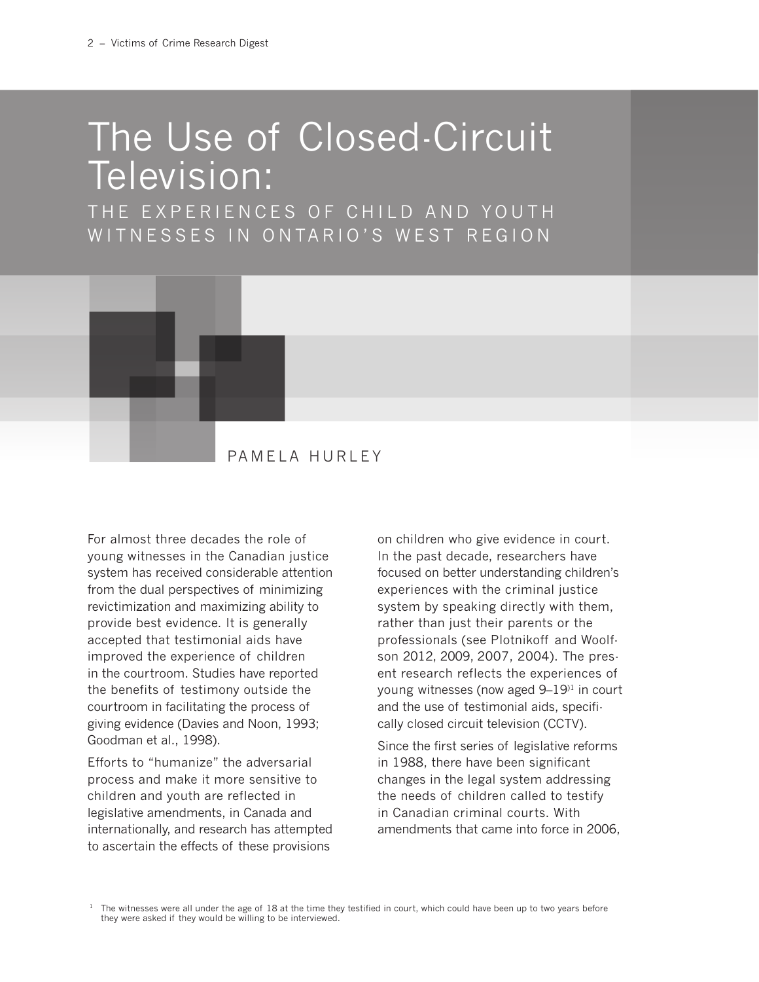# The Use of Closed-Circuit Television:

THE EXPERIENCES OF CHILD AND YOUTH WITNESSES IN ONTARIO'S WEST REGION



For almost three decades the role of young witnesses in the Canadian justice system has received considerable attention from the dual perspectives of minimizing revictimization and maximizing ability to provide best evidence. It is generally accepted that testimonial aids have improved the experience of children in the courtroom. Studies have reported the benefits of testimony outside the courtroom in facilitating the process of giving evidence (Davies and Noon, 1993; Goodman et al., 1998).

Efforts to "humanize" the adversarial process and make it more sensitive to children and youth are reflected in legislative amendments, in Canada and internationally, and research has attempted to ascertain the effects of these provisions

on children who give evidence in court. In the past decade, researchers have focused on better understanding children's experiences with the criminal justice system by speaking directly with them, rather than just their parents or the professionals (see Plotnikoff and Woolfson 2012, 2009, 2007, 2004). The present research reflects the experiences of young witnesses (now aged 9–19)1 in court and the use of testimonial aids, specifically closed circuit television (CCTV).

Since the first series of legislative reforms in 1988, there have been significant changes in the legal system addressing the needs of children called to testify in Canadian criminal courts. With amendments that came into force in 2006,

 $1$  The witnesses were all under the age of 18 at the time they testified in court, which could have been up to two years before they were asked if they would be willing to be interviewed.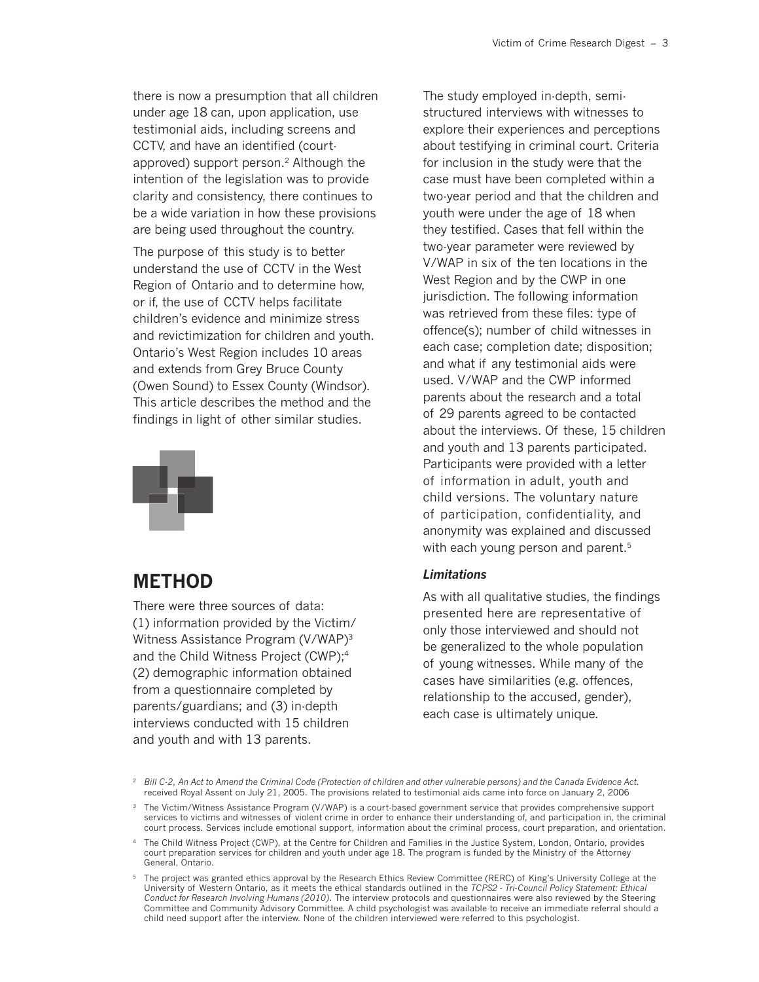there is now a presumption that all children under age 18 can, upon application, use testimonial aids, including screens and CCTV, and have an identified (courtapproved) support person.<sup>2</sup> Although the intention of the legislation was to provide clarity and consistency, there continues to be a wide variation in how these provisions are being used throughout the country.

The purpose of this study is to better understand the use of CCTV in the West Region of Ontario and to determine how, or if, the use of CCTV helps facilitate children's evidence and minimize stress and revictimization for children and youth. Ontario's West Region includes 10 areas and extends from Grey Bruce County (Owen Sound) to Essex County (Windsor). This article describes the method and the findings in light of other similar studies.



### **METHOD**

There were three sources of data: (1) information provided by the Victim/ Witness Assistance Program (V/WAP)3 and the Child Witness Project (CWP);<sup>4</sup> (2) demographic information obtained from a questionnaire completed by parents/guardians; and (3) in-depth interviews conducted with 15 children and youth and with 13 parents.

The study employed in-depth, semistructured interviews with witnesses to explore their experiences and perceptions about testifying in criminal court. Criteria for inclusion in the study were that the case must have been completed within a two-year period and that the children and youth were under the age of 18 when they testified. Cases that fell within the two-year parameter were reviewed by V/WAP in six of the ten locations in the West Region and by the CWP in one jurisdiction. The following information was retrieved from these files: type of offence(s); number of child witnesses in each case; completion date; disposition; and what if any testimonial aids were used. V/WAP and the CWP informed parents about the research and a total of 29 parents agreed to be contacted about the interviews. Of these, 15 children and youth and 13 parents participated. Participants were provided with a letter of information in adult, youth and child versions. The voluntary nature of participation, confidentiality, and anonymity was explained and discussed with each young person and parent.<sup>5</sup>

#### *Limitations*

As with all qualitative studies, the findings presented here are representative of only those interviewed and should not be generalized to the whole population of young witnesses. While many of the cases have similarities (e.g. offences, relationship to the accused, gender), each case is ultimately unique.

<sup>2</sup> *Bill C-2, An Act to Amend the Criminal Code (Protection of children and other vulnerable persons) and the Canada Evidence Act.* received Royal Assent on July 21, 2005. The provisions related to testimonial aids came into force on January 2, 2006

<sup>&</sup>lt;sup>3</sup> The Victim/Witness Assistance Program (V/WAP) is a court-based government service that provides comprehensive support services to victims and witnesses of violent crime in order to enhance their understanding of, and participation in, the criminal court process. Services include emotional support, information about the criminal process, court preparation, and orientation.

<sup>4</sup> The Child Witness Project (CWP), at the Centre for Children and Families in the Justice System, London, Ontario, provides court preparation services for children and youth under age 18. The program is funded by the Ministry of the Attorney General, Ontario.

<sup>5</sup> The project was granted ethics approval by the Research Ethics Review Committee (RERC) of King's University College at the University of Western Ontario, as it meets the ethical standards outlined in the *TCPS2 - Tri-Council Policy Statement: Ethical Conduct for Research Involving Humans (2010)*. The interview protocols and questionnaires were also reviewed by the Steering Committee and Community Advisory Committee. A child psychologist was available to receive an immediate referral should a child need support after the interview. None of the children interviewed were referred to this psychologist.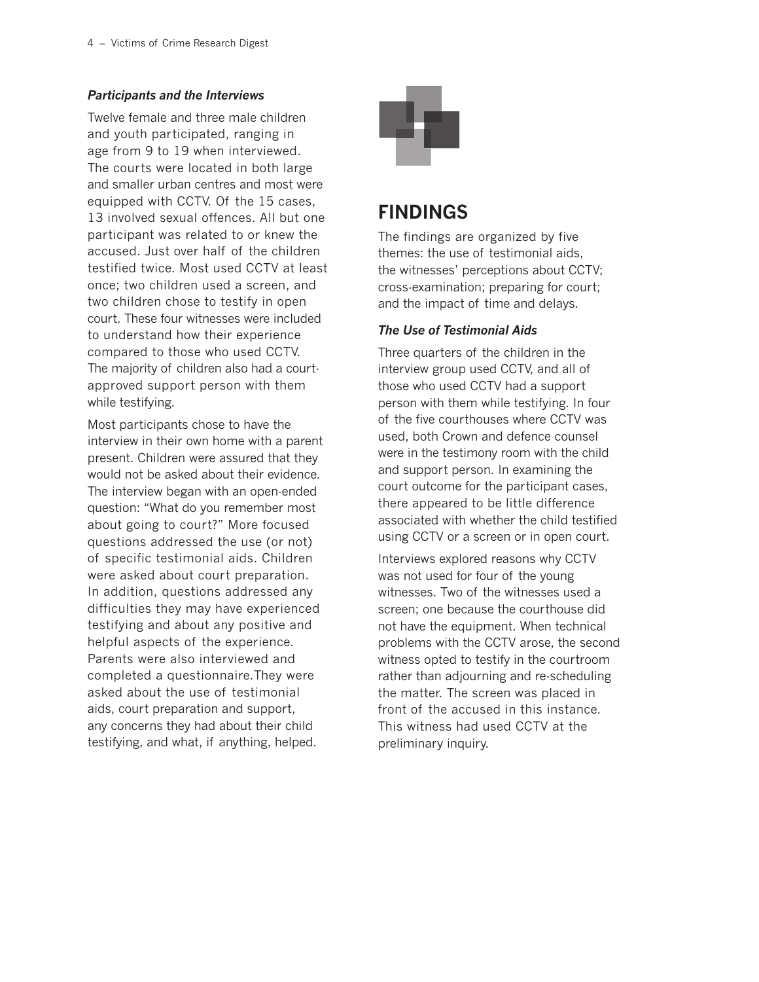### *Participants and the Interviews*

Twelve female and three male children and youth participated, ranging in age from 9 to 19 when interviewed. The courts were located in both large and smaller urban centres and most were equipped with CCTV. Of the 15 cases, 13 involved sexual offences. All but one participant was related to or knew the accused. Just over half of the children testified twice. Most used CCTV at least once; two children used a screen, and two children chose to testify in open court. These four witnesses were included to understand how their experience compared to those who used CCTV. The majority of children also had a courtapproved support person with them while testifying.

Most participants chose to have the interview in their own home with a parent present. Children were assured that they would not be asked about their evidence. The interview began with an open-ended question: "What do you remember most about going to court?" More focused questions addressed the use (or not) of specific testimonial aids. Children were asked about court preparation. In addition, questions addressed any difficulties they may have experienced testifying and about any positive and helpful aspects of the experience. Parents were also interviewed and completed a questionnaire.They were asked about the use of testimonial aids, court preparation and support, any concerns they had about their child testifying, and what, if anything, helped.



### **FINDINGS**

The findings are organized by five themes: the use of testimonial aids, the witnesses' perceptions about CCTV; cross-examination; preparing for court; and the impact of time and delays.

### *The Use of Testimonial Aids*

Three quarters of the children in the interview group used CCTV, and all of those who used CCTV had a support person with them while testifying. In four of the five courthouses where CCTV was used, both Crown and defence counsel were in the testimony room with the child and support person. In examining the court outcome for the participant cases, there appeared to be little difference associated with whether the child testified using CCTV or a screen or in open court.

Interviews explored reasons why CCTV was not used for four of the young witnesses. Two of the witnesses used a screen; one because the courthouse did not have the equipment. When technical problems with the CCTV arose, the second witness opted to testify in the courtroom rather than adjourning and re-scheduling the matter. The screen was placed in front of the accused in this instance. This witness had used CCTV at the preliminary inquiry.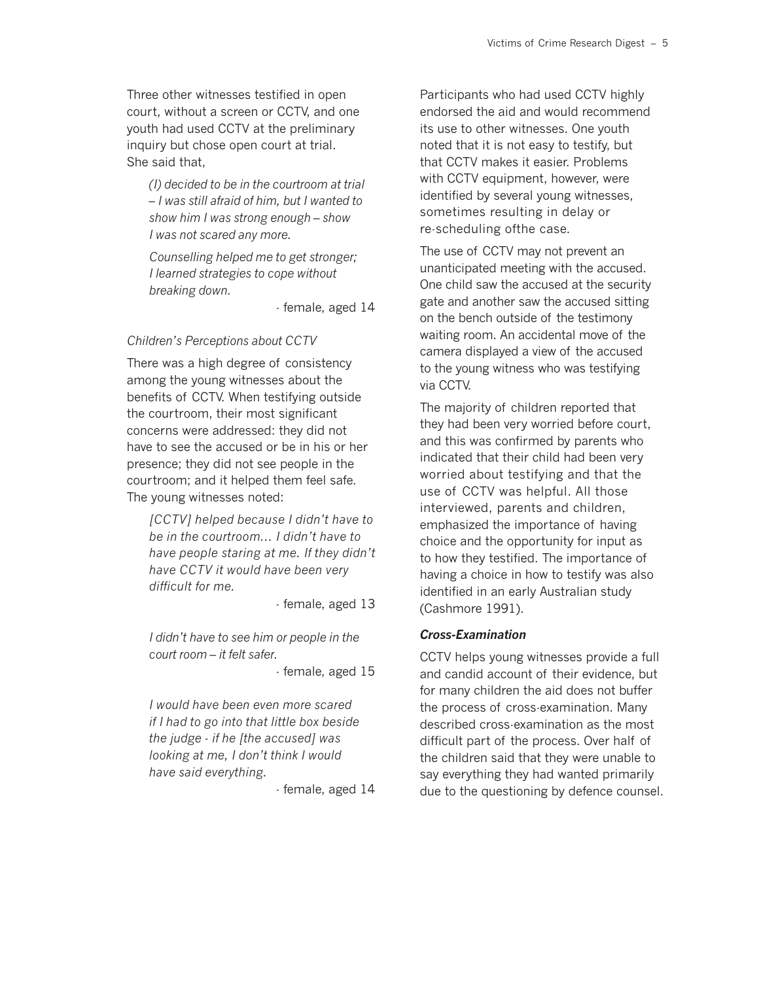Three other witnesses testified in open court, without a screen or CCTV, and one youth had used CCTV at the preliminary inquiry but chose open court at trial. She said that,

*(I) decided to be in the courtroom at trial – I was still afraid of him, but I wanted to show him I was strong enough – show I was not scared any more.*

*Counselling helped me to get stronger; I learned strategies to cope without breaking down.*

- female, aged 14

#### *Children's Perceptions about CCTV*

There was a high degree of consistency among the young witnesses about the benefits of CCTV. When testifying outside the courtroom, their most significant concerns were addressed: they did not have to see the accused or be in his or her presence; they did not see people in the courtroom; and it helped them feel safe. The young witnesses noted:

*[CCTV] helped because I didn't have to be in the courtroom... I didn't have to have people staring at me. If they didn't have CCTV it would have been very difficult for me.*

- female, aged 13

*I didn't have to see him or people in the court room – it felt safer.*

- female, aged 15

*I would have been even more scared if I had to go into that little box beside the judge - if he [the accused] was looking at me, I don't think I would have said everything.*

- female, aged 14

Participants who had used CCTV highly endorsed the aid and would recommend its use to other witnesses. One youth noted that it is not easy to testify, but that CCTV makes it easier. Problems with CCTV equipment, however, were identified by several young witnesses, sometimes resulting in delay or re-scheduling ofthe case.

The use of CCTV may not prevent an unanticipated meeting with the accused. One child saw the accused at the security gate and another saw the accused sitting on the bench outside of the testimony waiting room. An accidental move of the camera displayed a view of the accused to the young witness who was testifying via CCTV.

The majority of children reported that they had been very worried before court, and this was confirmed by parents who indicated that their child had been very worried about testifying and that the use of CCTV was helpful. All those interviewed, parents and children, emphasized the importance of having choice and the opportunity for input as to how they testified. The importance of having a choice in how to testify was also identified in an early Australian study (Cashmore 1991).

#### *Cross-Examination*

CCTV helps young witnesses provide a full and candid account of their evidence, but for many children the aid does not buffer the process of cross-examination. Many described cross-examination as the most difficult part of the process. Over half of the children said that they were unable to say everything they had wanted primarily due to the questioning by defence counsel.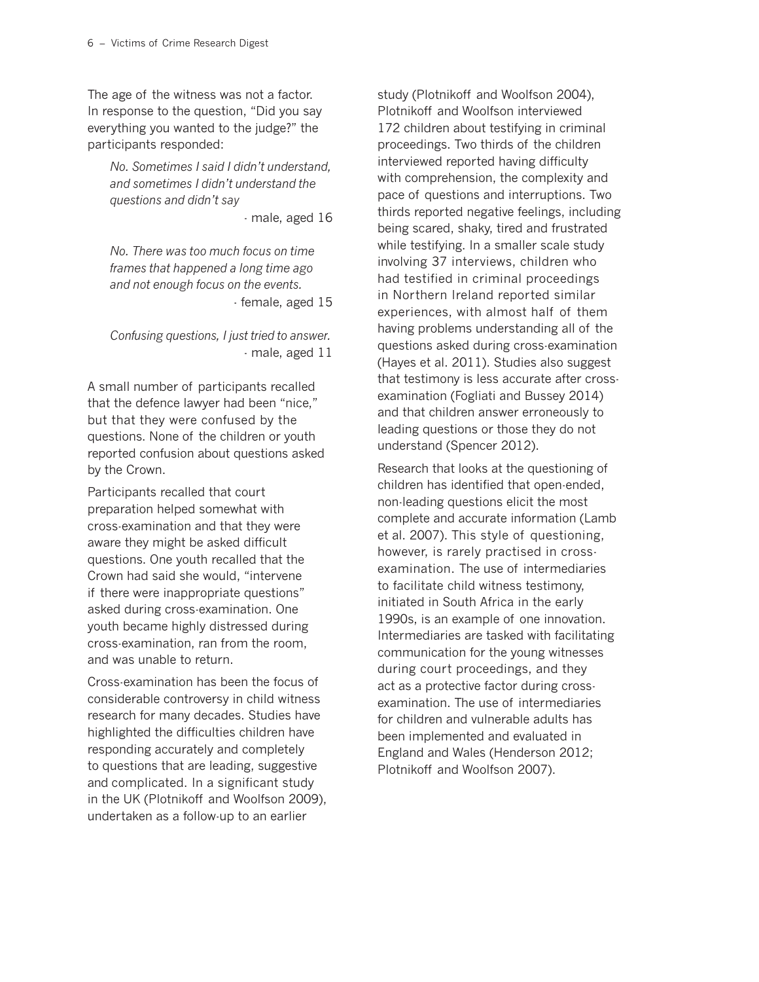The age of the witness was not a factor. In response to the question, "Did you say everything you wanted to the judge?" the participants responded:

*No. Sometimes I said I didn't understand, and sometimes I didn't understand the questions and didn't say*

- male, aged 16

*No. There was too much focus on time frames that happened a long time ago and not enough focus on the events.* - female, aged 15

*Confusing questions, I just tried to answer.* - male, aged 11

A small number of participants recalled that the defence lawyer had been "nice," but that they were confused by the questions. None of the children or youth reported confusion about questions asked by the Crown.

Participants recalled that court preparation helped somewhat with cross-examination and that they were aware they might be asked difficult questions. One youth recalled that the Crown had said she would, "intervene if there were inappropriate questions" asked during cross-examination. One youth became highly distressed during cross-examination, ran from the room, and was unable to return.

Cross-examination has been the focus of considerable controversy in child witness research for many decades. Studies have highlighted the difficulties children have responding accurately and completely to questions that are leading, suggestive and complicated. In a significant study in the UK (Plotnikoff and Woolfson 2009), undertaken as a follow-up to an earlier

study (Plotnikoff and Woolfson 2004), Plotnikoff and Woolfson interviewed 172 children about testifying in criminal proceedings. Two thirds of the children interviewed reported having difficulty with comprehension, the complexity and pace of questions and interruptions. Two thirds reported negative feelings, including being scared, shaky, tired and frustrated while testifying. In a smaller scale study involving 37 interviews, children who had testified in criminal proceedings in Northern Ireland reported similar experiences, with almost half of them having problems understanding all of the questions asked during cross-examination (Hayes et al. 2011). Studies also suggest that testimony is less accurate after crossexamination (Fogliati and Bussey 2014) and that children answer erroneously to leading questions or those they do not understand (Spencer 2012).

Research that looks at the questioning of children has identified that open-ended, non-leading questions elicit the most complete and accurate information (Lamb et al. 2007). This style of questioning, however, is rarely practised in crossexamination. The use of intermediaries to facilitate child witness testimony, initiated in South Africa in the early 1990s, is an example of one innovation. Intermediaries are tasked with facilitating communication for the young witnesses during court proceedings, and they act as a protective factor during crossexamination. The use of intermediaries for children and vulnerable adults has been implemented and evaluated in England and Wales (Henderson 2012; Plotnikoff and Woolfson 2007).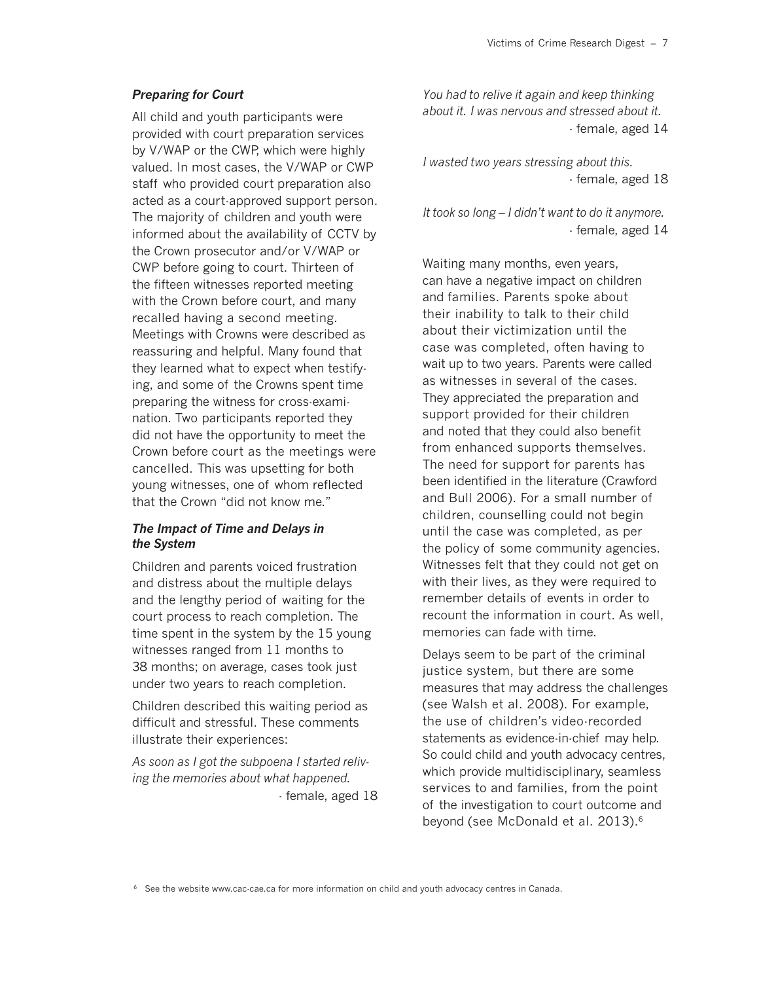#### *Preparing for Court*

All child and youth participants were provided with court preparation services by V/WAP or the CWP, which were highly valued. In most cases, the V/WAP or CWP staff who provided court preparation also acted as a court-approved support person. The majority of children and youth were informed about the availability of CCTV by the Crown prosecutor and/or V/WAP or CWP before going to court. Thirteen of the fifteen witnesses reported meeting with the Crown before court, and many recalled having a second meeting. Meetings with Crowns were described as reassuring and helpful. Many found that they learned what to expect when testifying, and some of the Crowns spent time preparing the witness for cross-examination. Two participants reported they did not have the opportunity to meet the Crown before court as the meetings were cancelled. This was upsetting for both young witnesses, one of whom reflected that the Crown "did not know me."

#### *The Impact of Time and Delays in the System*

Children and parents voiced frustration and distress about the multiple delays and the lengthy period of waiting for the court process to reach completion. The time spent in the system by the 15 young witnesses ranged from 11 months to 38 months; on average, cases took just under two years to reach completion.

Children described this waiting period as difficult and stressful. These comments illustrate their experiences:

*As soon as I got the subpoena I started reliving the memories about what happened.* - female, aged 18 *You had to relive it again and keep thinking about it. I was nervous and stressed about it.* - female, aged 14

*I wasted two years stressing about this.* - female, aged 18

*It took so long – I didn't want to do it anymore.* - female, aged 14

Waiting many months, even years, can have a negative impact on children and families. Parents spoke about their inability to talk to their child about their victimization until the case was completed, often having to wait up to two years. Parents were called as witnesses in several of the cases. They appreciated the preparation and support provided for their children and noted that they could also benefit from enhanced supports themselves. The need for support for parents has been identified in the literature (Crawford and Bull 2006). For a small number of children, counselling could not begin until the case was completed, as per the policy of some community agencies. Witnesses felt that they could not get on with their lives, as they were required to remember details of events in order to recount the information in court. As well, memories can fade with time.

Delays seem to be part of the criminal justice system, but there are some measures that may address the challenges (see Walsh et al. 2008). For example, the use of children's video-recorded statements as evidence-in-chief may help. So could child and youth advocacy centres, which provide multidisciplinary, seamless services to and families, from the point of the investigation to court outcome and beyond (see McDonald et al. 2013).6

<sup>6</sup> See the website www.cac-cae.ca for more information on child and youth advocacy centres in Canada.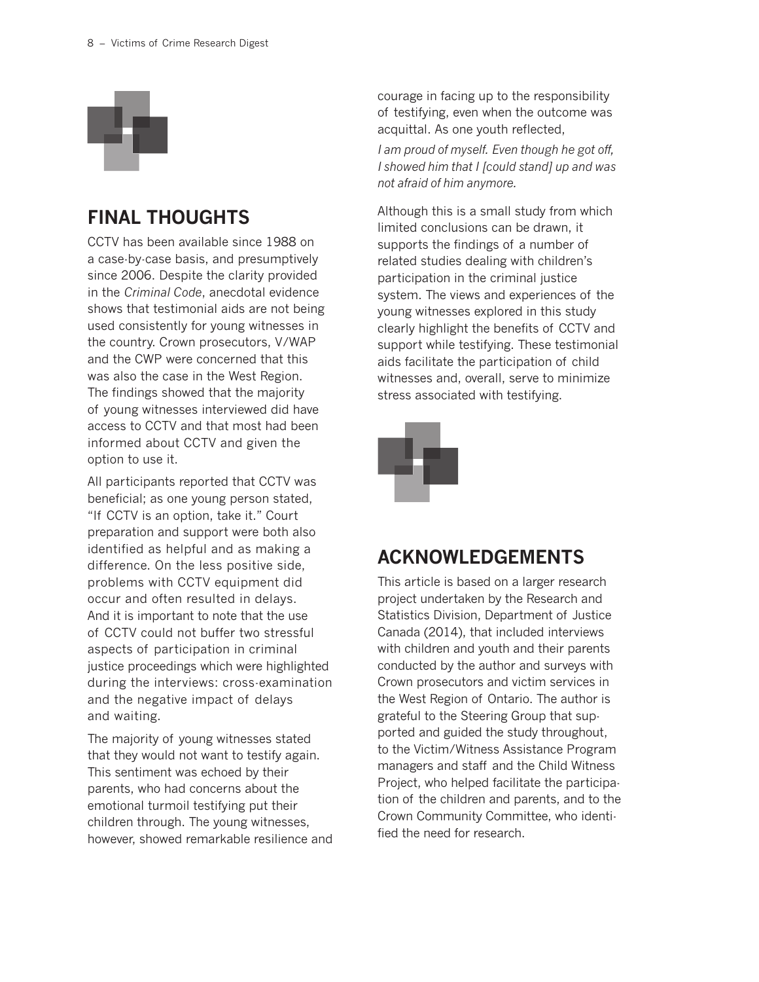

### **FINAL THOUGHTS**

CCTV has been available since 1988 on a case-by-case basis, and presumptively since 2006. Despite the clarity provided in the *Criminal Code*, anecdotal evidence shows that testimonial aids are not being used consistently for young witnesses in the country. Crown prosecutors, V/WAP and the CWP were concerned that this was also the case in the West Region. The findings showed that the majority of young witnesses interviewed did have access to CCTV and that most had been informed about CCTV and given the option to use it.

All participants reported that CCTV was beneficial; as one young person stated, "If CCTV is an option, take it." Court preparation and support were both also identified as helpful and as making a difference. On the less positive side, problems with CCTV equipment did occur and often resulted in delays. And it is important to note that the use of CCTV could not buffer two stressful aspects of participation in criminal justice proceedings which were highlighted during the interviews: cross-examination and the negative impact of delays and waiting.

The majority of young witnesses stated that they would not want to testify again. This sentiment was echoed by their parents, who had concerns about the emotional turmoil testifying put their children through. The young witnesses, however, showed remarkable resilience and courage in facing up to the responsibility of testifying, even when the outcome was acquittal. As one youth reflected,

*I am proud of myself. Even though he got off, I showed him that I [could stand] up and was not afraid of him anymore.*

Although this is a small study from which limited conclusions can be drawn, it supports the findings of a number of related studies dealing with children's participation in the criminal justice system. The views and experiences of the young witnesses explored in this study clearly highlight the benefits of CCTV and support while testifying. These testimonial aids facilitate the participation of child witnesses and, overall, serve to minimize stress associated with testifying.



### **ACKNOWLEDGEMENTS**

This article is based on a larger research project undertaken by the Research and Statistics Division, Department of Justice Canada (2014), that included interviews with children and youth and their parents conducted by the author and surveys with Crown prosecutors and victim services in the West Region of Ontario. The author is grateful to the Steering Group that supported and guided the study throughout, to the Victim/Witness Assistance Program managers and staff and the Child Witness Project, who helped facilitate the participation of the children and parents, and to the Crown Community Committee, who identified the need for research.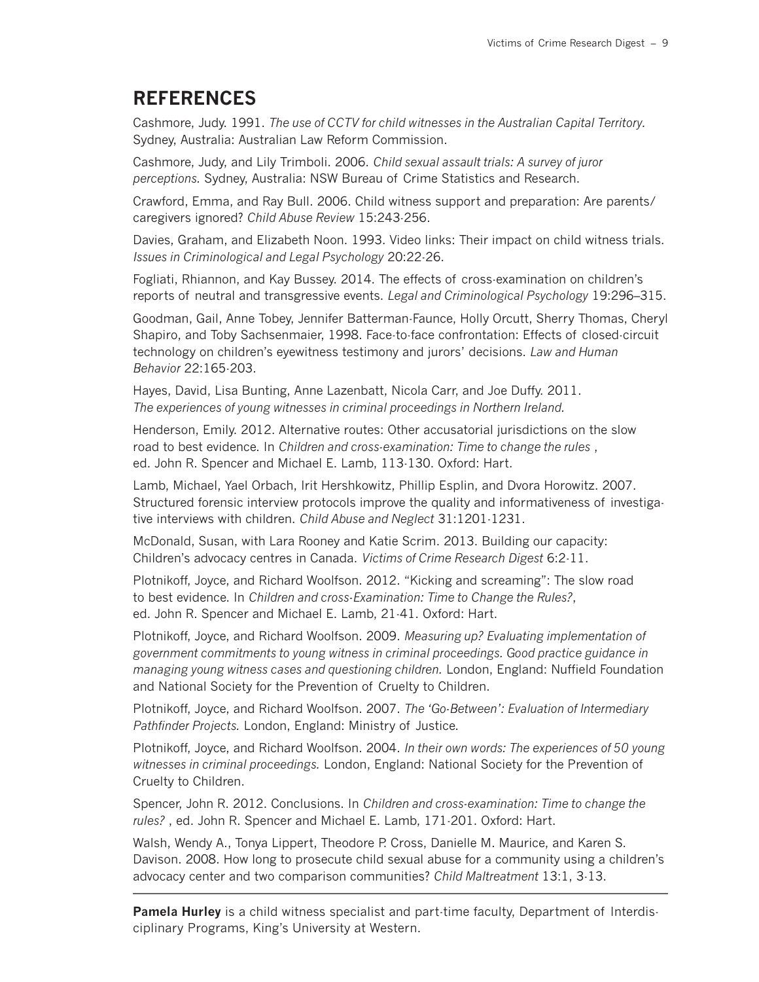### **REFERENCES**

Cashmore, Judy. 1991. *The use of CCTV for child witnesses in the Australian Capital Territory.* Sydney, Australia: Australian Law Reform Commission.

Cashmore, Judy, and Lily Trimboli. 2006. *Child sexual assault trials: A survey of juror perceptions.* Sydney, Australia: NSW Bureau of Crime Statistics and Research.

Crawford, Emma, and Ray Bull. 2006. Child witness support and preparation: Are parents/ caregivers ignored? *Child Abuse Review* 15:243-256.

Davies, Graham, and Elizabeth Noon. 1993. Video links: Their impact on child witness trials. *Issues in Criminological and Legal Psychology* 20:22-26.

Fogliati, Rhiannon, and Kay Bussey. 2014. The effects of cross-examination on children's reports of neutral and transgressive events. *Legal and Criminological Psychology* 19:296–315.

Goodman, Gail, Anne Tobey, Jennifer Batterman-Faunce, Holly Orcutt, Sherry Thomas, Cheryl Shapiro, and Toby Sachsenmaier, 1998. Face-to-face confrontation: Effects of closed-circuit technology on children's eyewitness testimony and jurors' decisions. *Law and Human Behavior* 22:165-203.

Hayes, David, Lisa Bunting, Anne Lazenbatt, Nicola Carr, and Joe Duffy. 2011. *The experiences of young witnesses in criminal proceedings in Northern Ireland.*

Henderson, Emily. 2012. Alternative routes: Other accusatorial jurisdictions on the slow road to best evidence. In *Children and cross-examination: Time to change the rules* , ed. John R. Spencer and Michael E. Lamb, 113-130. Oxford: Hart.

Lamb, Michael, Yael Orbach, Irit Hershkowitz, Phillip Esplin, and Dvora Horowitz. 2007. Structured forensic interview protocols improve the quality and informativeness of investigative interviews with children. *Child Abuse and Neglect* 31:1201-1231.

McDonald, Susan, with Lara Rooney and Katie Scrim. 2013. Building our capacity: Children's advocacy centres in Canada. *Victims of Crime Research Digest* 6:2-11.

Plotnikoff, Joyce, and Richard Woolfson. 2012. "Kicking and screaming": The slow road to best evidence. In *Children and cross-Examination: Time to Change the Rules?*, ed. John R. Spencer and Michael E. Lamb, 21-41. Oxford: Hart.

Plotnikoff, Joyce, and Richard Woolfson. 2009. *Measuring up? Evaluating implementation of government commitments to young witness in criminal proceedings. Good practice guidance in managing young witness cases and questioning children.* London, England: Nuffield Foundation and National Society for the Prevention of Cruelty to Children.

Plotnikoff, Joyce, and Richard Woolfson. 2007. *The 'Go-Between': Evaluation of Intermediary Pathfinder Projects.* London, England: Ministry of Justice.

Plotnikoff, Joyce, and Richard Woolfson. 2004. *In their own words: The experiences of 50 young witnesses in criminal proceedings.* London, England: National Society for the Prevention of Cruelty to Children.

Spencer, John R. 2012. Conclusions. In *Children and cross-examination: Time to change the rules?* , ed. John R. Spencer and Michael E. Lamb, 171-201. Oxford: Hart.

Walsh, Wendy A., Tonya Lippert, Theodore P. Cross, Danielle M. Maurice, and Karen S. Davison. 2008. How long to prosecute child sexual abuse for a community using a children's advocacy center and two comparison communities? *Child Maltreatment* 13:1, 3-13.

**Pamela Hurley** is a child witness specialist and part-time faculty, Department of Interdisciplinary Programs, King's University at Western.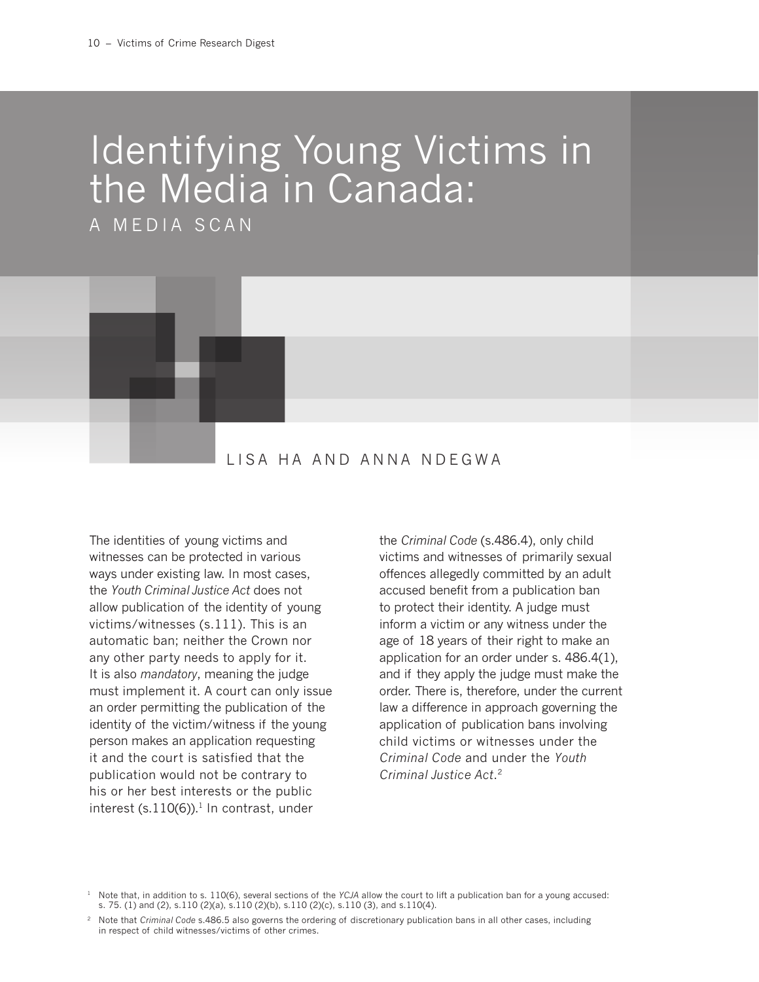# Identifying Young Victims in the Media in Canada:

A MEDIA SCAN



### LISA HA AND ANNA NDEGWA

The identities of young victims and witnesses can be protected in various ways under existing law. In most cases, the *Youth Criminal Justice Act* does not allow publication of the identity of young victims/witnesses (s.111). This is an automatic ban; neither the Crown nor any other party needs to apply for it. It is also *mandatory*, meaning the judge must implement it. A court can only issue an order permitting the publication of the identity of the victim/witness if the young person makes an application requesting it and the court is satisfied that the publication would not be contrary to his or her best interests or the public interest  $(s.110(6))$ .<sup>1</sup> In contrast, under

the *Criminal Code* (s.486.4), only child victims and witnesses of primarily sexual offences allegedly committed by an adult accused benefit from a publication ban to protect their identity. A judge must inform a victim or any witness under the age of 18 years of their right to make an application for an order under s. 486.4(1), and if they apply the judge must make the order. There is, therefore, under the current law a difference in approach governing the application of publication bans involving child victims or witnesses under the *Criminal Code* and under the *Youth Criminal Justice Act*. 2

<sup>&</sup>lt;sup>1</sup> Note that, in addition to s. 110(6), several sections of the *YCJA* allow the court to lift a publication ban for a young accused: s. 75. (1) and (2), s.110 (2)(a), s.110 (2)(b), s.110 (2)(c), s.110 (3), and s.110(4).

<sup>&</sup>lt;sup>2</sup> Note that *Criminal Code* s.486.5 also governs the ordering of discretionary publication bans in all other cases, including in respect of child witnesses/victims of other crimes.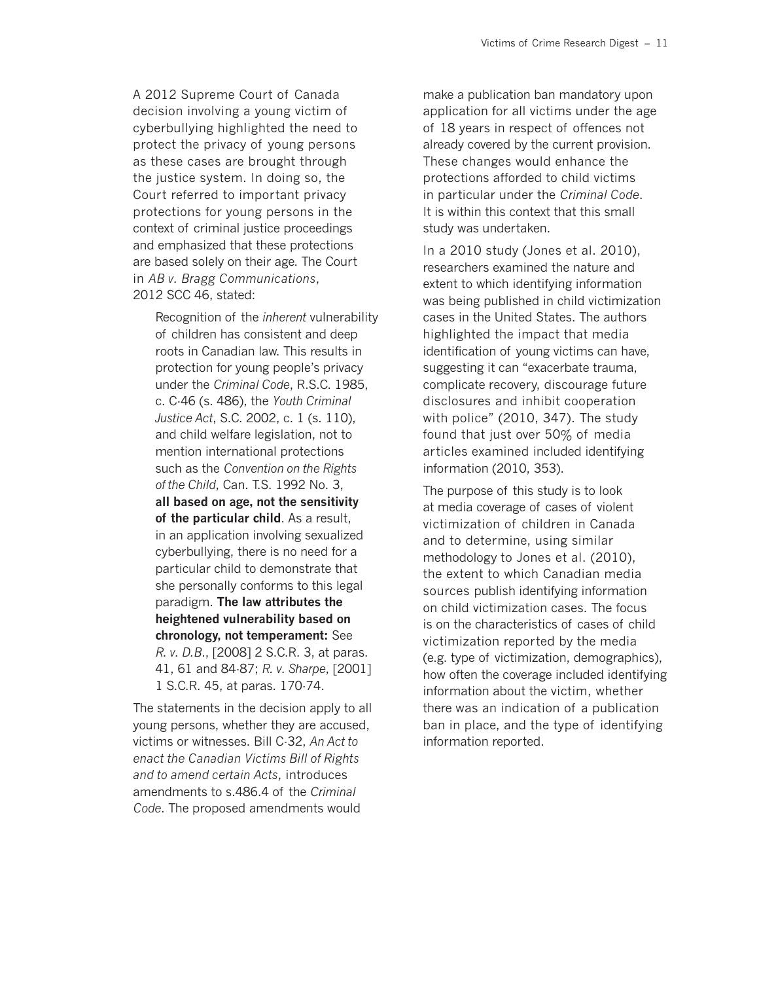A 2012 Supreme Court of Canada decision involving a young victim of cyberbullying highlighted the need to protect the privacy of young persons as these cases are brought through the justice system. In doing so, the Court referred to important privacy protections for young persons in the context of criminal justice proceedings and emphasized that these protections are based solely on their age. The Court in *AB v. Bragg Communications*, 2012 SCC 46, stated:

Recognition of the *inherent* vulnerability of children has consistent and deep roots in Canadian law. This results in protection for young people's privacy under the *Criminal Code*, R.S.C. 1985, c. C-46 (s. 486), the *Youth Criminal Justice Act*, S.C. 2002, c. 1 (s. 110), and child welfare legislation, not to mention international protections such as the *Convention on the Rights of the Child*, Can. T.S. 1992 No. 3, **all based on age, not the sensitivity of the particular child**. As a result, in an application involving sexualized cyberbullying, there is no need for a particular child to demonstrate that she personally conforms to this legal paradigm. **The law attributes the heightened vulnerability based on chronology, not temperament:** See *R. v. D.B*., [2008] 2 S.C.R. 3, at paras. 41, 61 and 84-87; *R. v. Sharpe*, [2001] 1 S.C.R. 45, at paras. 170-74.

The statements in the decision apply to all young persons, whether they are accused, victims or witnesses. Bill C-32, *An Act to enact the Canadian Victims Bill of Rights and to amend certain Acts*, introduces amendments to s.486.4 of the *Criminal Code*. The proposed amendments would

make a publication ban mandatory upon application for all victims under the age of 18 years in respect of offences not already covered by the current provision. These changes would enhance the protections afforded to child victims in particular under the *Criminal Code*. It is within this context that this small study was undertaken.

In a 2010 study (Jones et al. 2010), researchers examined the nature and extent to which identifying information was being published in child victimization cases in the United States. The authors highlighted the impact that media identification of young victims can have, suggesting it can "exacerbate trauma, complicate recovery, discourage future disclosures and inhibit cooperation with police" (2010, 347). The study found that just over 50% of media articles examined included identifying information (2010, 353).

The purpose of this study is to look at media coverage of cases of violent victimization of children in Canada and to determine, using similar methodology to Jones et al. (2010), the extent to which Canadian media sources publish identifying information on child victimization cases. The focus is on the characteristics of cases of child victimization reported by the media (e.g. type of victimization, demographics), how often the coverage included identifying information about the victim, whether there was an indication of a publication ban in place, and the type of identifying information reported.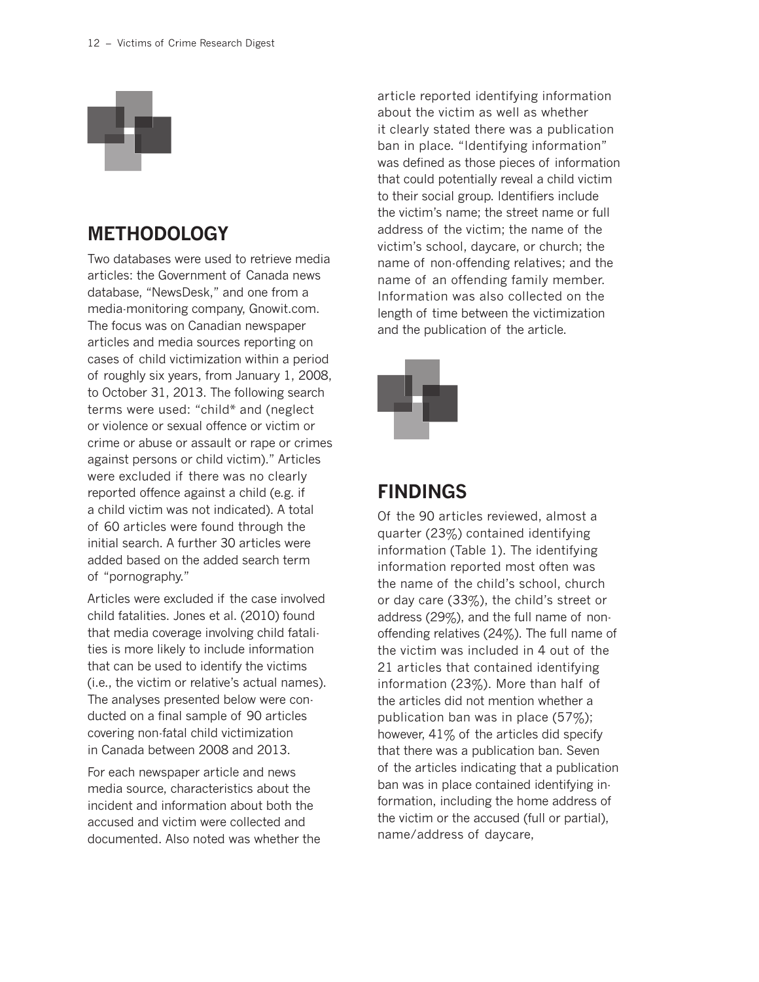

### **METHODOLOGY**

Two databases were used to retrieve media articles: the Government of Canada news database, "NewsDesk," and one from a media-monitoring company, Gnowit.com. The focus was on Canadian newspaper articles and media sources reporting on cases of child victimization within a period of roughly six years, from January 1, 2008, to October 31, 2013. The following search terms were used: "child\* and (neglect or violence or sexual offence or victim or crime or abuse or assault or rape or crimes against persons or child victim)." Articles were excluded if there was no clearly reported offence against a child (e.g. if a child victim was not indicated). A total of 60 articles were found through the initial search. A further 30 articles were added based on the added search term of "pornography."

Articles were excluded if the case involved child fatalities. Jones et al. (2010) found that media coverage involving child fatalities is more likely to include information that can be used to identify the victims (i.e., the victim or relative's actual names). The analyses presented below were conducted on a final sample of 90 articles covering non-fatal child victimization in Canada between 2008 and 2013.

For each newspaper article and news media source, characteristics about the incident and information about both the accused and victim were collected and documented. Also noted was whether the article reported identifying information about the victim as well as whether it clearly stated there was a publication ban in place. "Identifying information" was defined as those pieces of information that could potentially reveal a child victim to their social group. Identifiers include the victim's name; the street name or full address of the victim; the name of the victim's school, daycare, or church; the name of non-offending relatives; and the name of an offending family member. Information was also collected on the length of time between the victimization and the publication of the article.



### **FINDINGS**

Of the 90 articles reviewed, almost a quarter (23%) contained identifying information (Table 1). The identifying information reported most often was the name of the child's school, church or day care (33%), the child's street or address (29%), and the full name of nonoffending relatives (24%). The full name of the victim was included in 4 out of the 21 articles that contained identifying information (23%). More than half of the articles did not mention whether a publication ban was in place (57%); however, 41% of the articles did specify that there was a publication ban. Seven of the articles indicating that a publication ban was in place contained identifying information, including the home address of the victim or the accused (full or partial), name/address of daycare,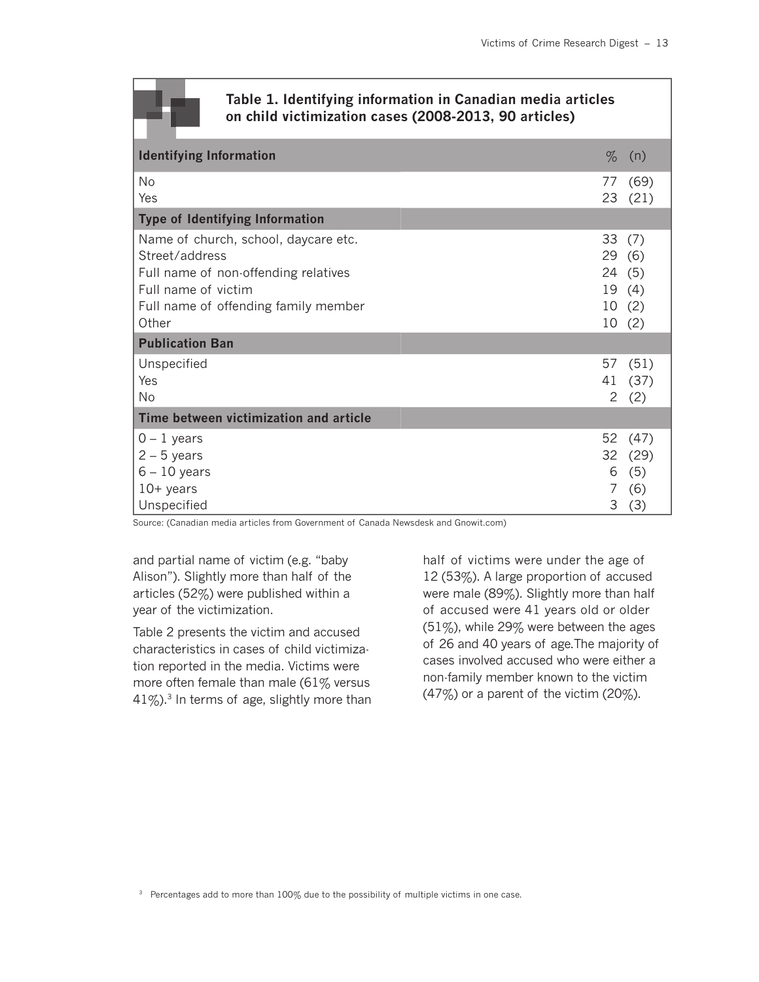### **Table 1. Identifying information in Canadian media articles on child victimization cases (2008-2013, 90 articles)**

| <b>Identifying Information</b>                                                                                                                                         | $\%$                        | (n)                               |
|------------------------------------------------------------------------------------------------------------------------------------------------------------------------|-----------------------------|-----------------------------------|
| No<br>Yes                                                                                                                                                              | 77<br>23                    | (69)<br>(21)                      |
| <b>Type of Identifying Information</b>                                                                                                                                 |                             |                                   |
| Name of church, school, daycare etc.<br>Street/address<br>Full name of non-offending relatives<br>Full name of victim<br>Full name of offending family member<br>Other | 33<br>29(6)<br>24 (5)<br>10 | (7)<br>19 (4)<br>10(2)<br>(2)     |
| <b>Publication Ban</b>                                                                                                                                                 |                             |                                   |
| Unspecified<br>Yes<br>No                                                                                                                                               | 57<br>41<br>2               | (51)<br>(37)<br>(2)               |
| Time between victimization and article                                                                                                                                 |                             |                                   |
| $0 - 1$ years<br>$2 - 5$ years<br>$6 - 10$ years<br>$10+$ years<br>Unspecified                                                                                         | 52<br>32<br>6<br>7<br>3     | (47)<br>(29)<br>(5)<br>(6)<br>(3) |

Source: (Canadian media articles from Government of Canada Newsdesk and Gnowit.com)

and partial name of victim (e.g. "baby Alison"). Slightly more than half of the articles (52%) were published within a year of the victimization.

Table 2 presents the victim and accused characteristics in cases of child victimization reported in the media. Victims were more often female than male (61% versus  $41\%$ ).<sup>3</sup> In terms of age, slightly more than half of victims were under the age of 12 (53%). A large proportion of accused were male (89%). Slightly more than half of accused were 41 years old or older (51%), while 29% were between the ages of 26 and 40 years of age.The majority of cases involved accused who were either a non-family member known to the victim (47%) or a parent of the victim (20%).

<sup>3</sup> Percentages add to more than 100% due to the possibility of multiple victims in one case.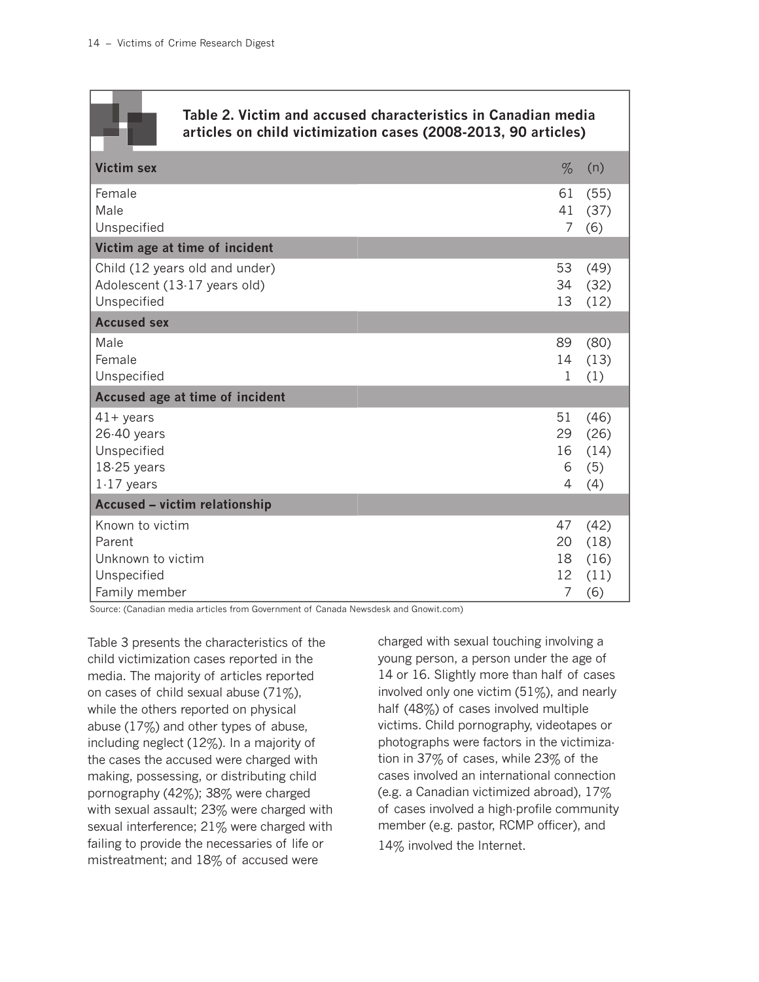| Table 2. Victim and accused characteristics in Canadian media<br>articles on child victimization cases (2008-2013, 90 articles) |                                                                  |  |  |
|---------------------------------------------------------------------------------------------------------------------------------|------------------------------------------------------------------|--|--|
| <b>Victim sex</b>                                                                                                               | $\%$<br>(n)                                                      |  |  |
| Female<br>Male<br>Unspecified                                                                                                   | 61<br>(55)<br>41<br>(37)<br>$\overline{7}$<br>(6)                |  |  |
| Victim age at time of incident                                                                                                  |                                                                  |  |  |
| Child (12 years old and under)<br>Adolescent (13-17 years old)<br>Unspecified                                                   | 53<br>(49)<br>34<br>(32)<br>13<br>(12)                           |  |  |
| <b>Accused sex</b>                                                                                                              |                                                                  |  |  |
| Male<br>Female<br>Unspecified                                                                                                   | 89<br>(80)<br>14<br>(13)<br>1<br>(1)                             |  |  |
| Accused age at time of incident                                                                                                 |                                                                  |  |  |
| $41 + \text{years}$<br>26-40 years<br>Unspecified<br>18-25 years<br>$1-17$ years                                                | 51<br>(46)<br>29<br>(26)<br>16<br>(14)<br>6<br>(5)<br>4<br>(4)   |  |  |
| <b>Accused - victim relationship</b>                                                                                            |                                                                  |  |  |
| Known to victim<br>Parent<br>Unknown to victim<br>Unspecified<br>Family member                                                  | 47<br>(42)<br>20<br>(18)<br>18<br>(16)<br>12<br>(11)<br>7<br>(6) |  |  |

Source: (Canadian media articles from Government of Canada Newsdesk and Gnowit.com)

Table 3 presents the characteristics of the child victimization cases reported in the media. The majority of articles reported on cases of child sexual abuse  $(71\%)$ , while the others reported on physical abuse (17%) and other types of abuse, including neglect (12%). In a majority of the cases the accused were charged with making, possessing, or distributing child pornography (42%); 38% were charged with sexual assault; 23% were charged with sexual interference; 21% were charged with failing to provide the necessaries of life or mistreatment; and 18% of accused were

charged with sexual touching involving a young person, a person under the age of 14 or 16. Slightly more than half of cases involved only one victim  $(51\%)$ , and nearly half (48%) of cases involved multiple victims. Child pornography, videotapes or photographs were factors in the victimization in 37% of cases, while 23% of the cases involved an international connection (e.g. a Canadian victimized abroad), 17% of cases involved a high-profile community member (e.g. pastor, RCMP officer), and 14% involved the Internet.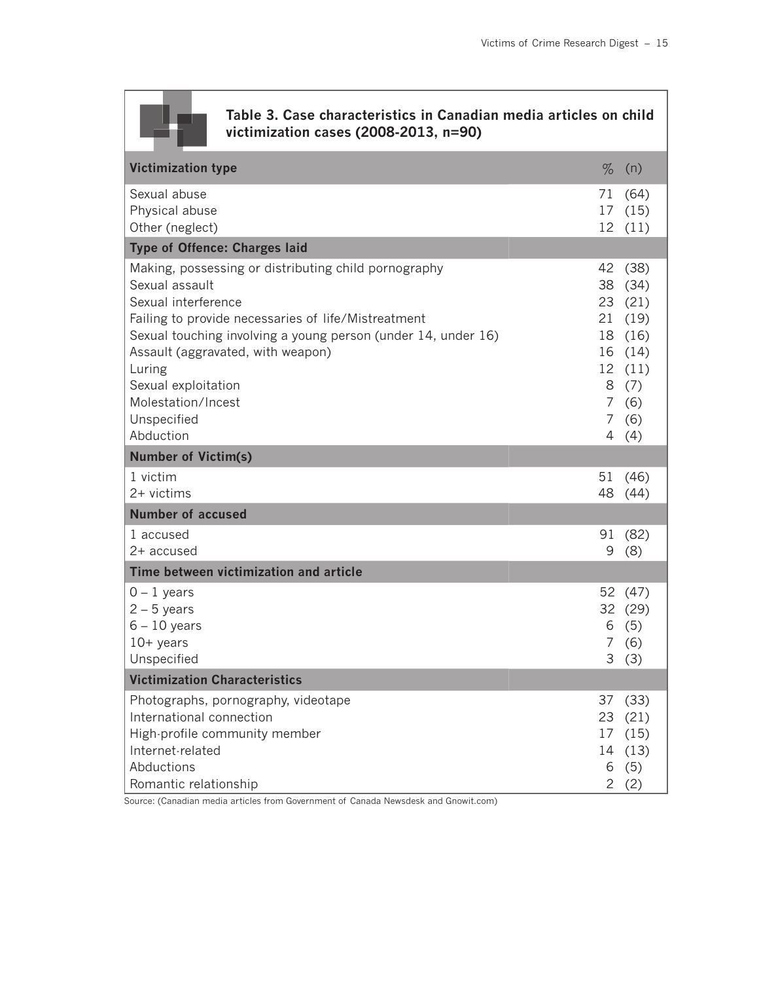### **Table 3. Case characteristics in Canadian media articles on child victimization cases (2008-2013, n=90)**

| <b>Victimization type</b>                                                                                                                                                                                                                                                                                                                     | $\%$                   | (n)                                                                                                  |
|-----------------------------------------------------------------------------------------------------------------------------------------------------------------------------------------------------------------------------------------------------------------------------------------------------------------------------------------------|------------------------|------------------------------------------------------------------------------------------------------|
| Sexual abuse<br>Physical abuse<br>Other (neglect)                                                                                                                                                                                                                                                                                             | 71                     | (64)<br>17 (15)<br>12 (11)                                                                           |
| <b>Type of Offence: Charges laid</b>                                                                                                                                                                                                                                                                                                          |                        |                                                                                                      |
| Making, possessing or distributing child pornography<br>Sexual assault<br>Sexual interference<br>Failing to provide necessaries of life/Mistreatment<br>Sexual touching involving a young person (under 14, under 16)<br>Assault (aggravated, with weapon)<br>Luring<br>Sexual exploitation<br>Molestation/Incest<br>Unspecified<br>Abduction | 38<br>$7^{\circ}$<br>7 | 42 (38)<br>(34)<br>23 (21)<br>21 (19)<br>18 (16)<br>16 (14)<br>12 (11)<br>8(7)<br>(6)<br>(6)<br>4(4) |
| <b>Number of Victim(s)</b>                                                                                                                                                                                                                                                                                                                    |                        |                                                                                                      |
| 1 victim<br>2+ victims                                                                                                                                                                                                                                                                                                                        | 51<br>48               | (46)<br>(44)                                                                                         |
| <b>Number of accused</b>                                                                                                                                                                                                                                                                                                                      |                        |                                                                                                      |
| 1 accused<br>2+ accused                                                                                                                                                                                                                                                                                                                       | 91<br>9                | (82)<br>(8)                                                                                          |
| Time between victimization and article                                                                                                                                                                                                                                                                                                        |                        |                                                                                                      |
| $0 - 1$ years<br>$2 - 5$ years<br>$6 - 10$ years<br>$10+$ years<br>Unspecified                                                                                                                                                                                                                                                                | 6<br>7                 | 52 (47)<br>32 (29)<br>(5)<br>(6)<br>3(3)                                                             |
| <b>Victimization Characteristics</b>                                                                                                                                                                                                                                                                                                          |                        |                                                                                                      |
| Photographs, pornography, videotape<br>International connection<br>High-profile community member<br>Internet-related<br>Abductions<br>Romantic relationship                                                                                                                                                                                   | 6<br>$\overline{2}$    | 37 (33)<br>23 (21)<br>17 (15)<br>14 (13)<br>(5)<br>(2)                                               |

Source: (Canadian media articles from Government of Canada Newsdesk and Gnowit.com)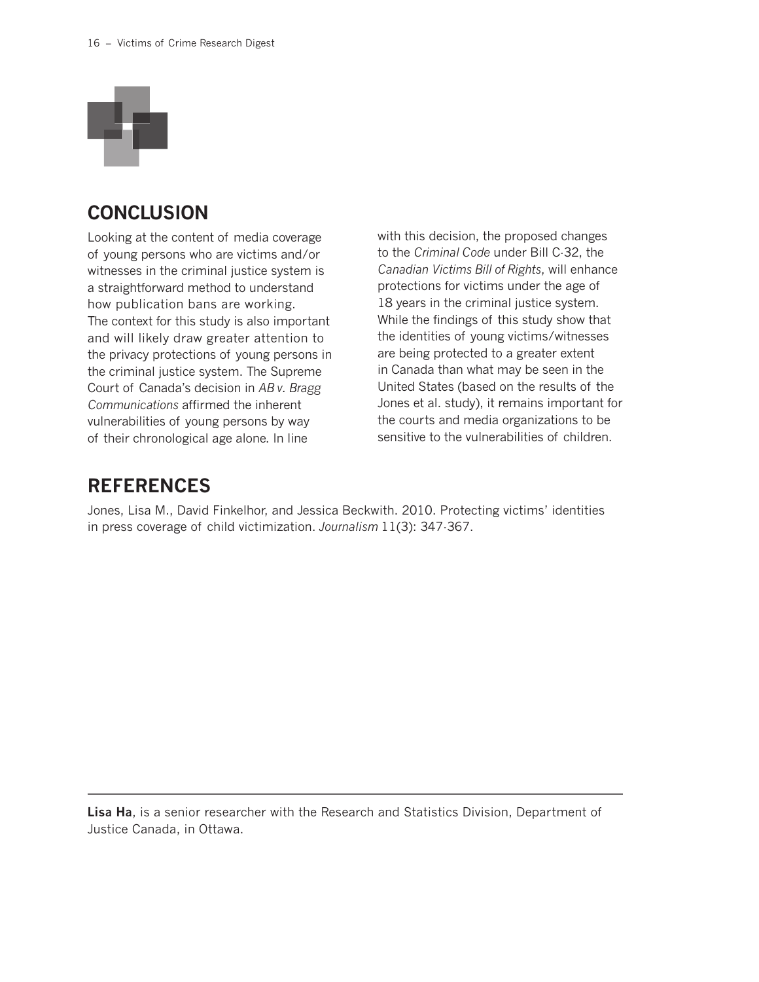

### **CONCLUSION**

Looking at the content of media coverage of young persons who are victims and/or witnesses in the criminal justice system is a straightforward method to understand how publication bans are working. The context for this study is also important and will likely draw greater attention to the privacy protections of young persons in the criminal justice system. The Supreme Court of Canada's decision in *AB v. Bragg Communications* affirmed the inherent vulnerabilities of young persons by way of their chronological age alone. In line

with this decision, the proposed changes to the *Criminal Code* under Bill C-32, the *Canadian Victims Bill of Rights*, will enhance protections for victims under the age of 18 years in the criminal justice system. While the findings of this study show that the identities of young victims/witnesses are being protected to a greater extent in Canada than what may be seen in the United States (based on the results of the Jones et al. study), it remains important for the courts and media organizations to be sensitive to the vulnerabilities of children.

### **REFERENCES**

Jones, Lisa M., David Finkelhor, and Jessica Beckwith. 2010. Protecting victims' identities in press coverage of child victimization. *Journalism* 11(3): 347-367.

**Lisa Ha**, is a senior researcher with the Research and Statistics Division, Department of Justice Canada, in Ottawa.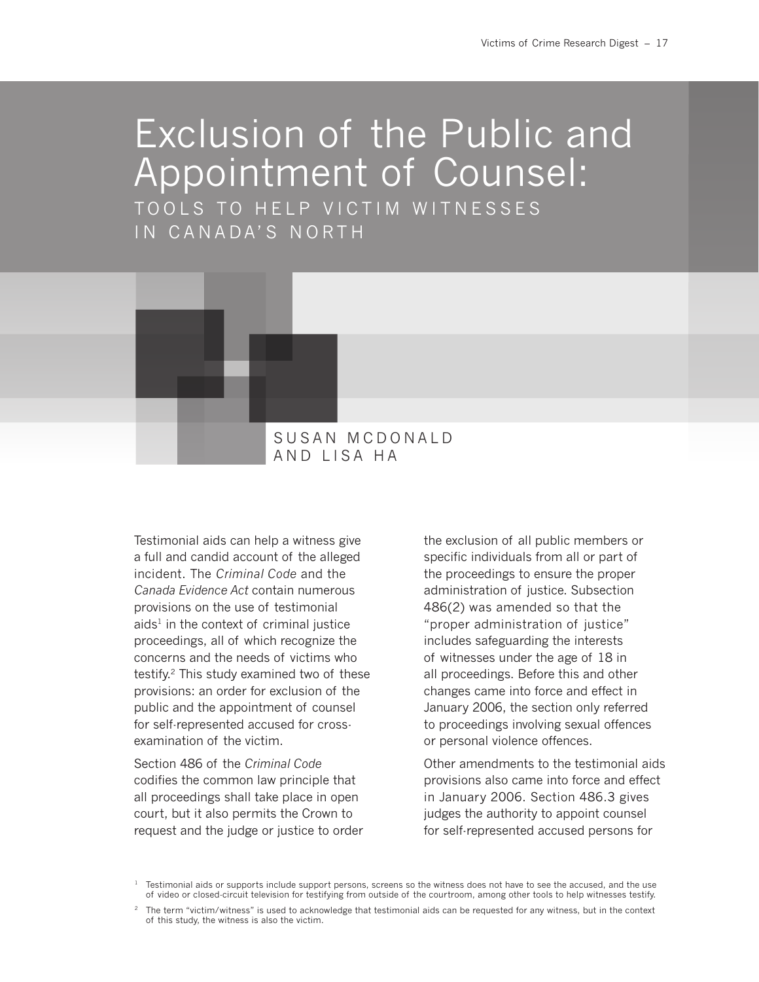# Exclusion of the Public and Appointment of Counsel:

TOOLS TO HELP VICTIM WITNESSES IN CANADA'S NORTH



Testimonial aids can help a witness give a full and candid account of the alleged incident. The *Criminal Code* and the *Canada Evidence Act* contain numerous provisions on the use of testimonial  $a$ ids<sup>1</sup> in the context of criminal justice proceedings, all of which recognize the concerns and the needs of victims who testify.<sup>2</sup> This study examined two of these provisions: an order for exclusion of the public and the appointment of counsel for self-represented accused for crossexamination of the victim.

Section 486 of the *Criminal Code* codifies the common law principle that all proceedings shall take place in open court, but it also permits the Crown to request and the judge or justice to order the exclusion of all public members or specific individuals from all or part of the proceedings to ensure the proper administration of justice. Subsection 486(2) was amended so that the "proper administration of justice" includes safeguarding the interests of witnesses under the age of 18 in all proceedings. Before this and other changes came into force and effect in January 2006, the section only referred to proceedings involving sexual offences or personal violence offences.

Other amendments to the testimonial aids provisions also came into force and effect in January 2006. Section 486.3 gives judges the authority to appoint counsel for self-represented accused persons for

 $1$  Testimonial aids or supports include support persons, screens so the witness does not have to see the accused, and the use of video or closed-circuit television for testifying from outside of the courtroom, among other tools to help witnesses testify.

 $2$  The term "victim/witness" is used to acknowledge that testimonial aids can be requested for any witness, but in the context of this study, the witness is also the victim.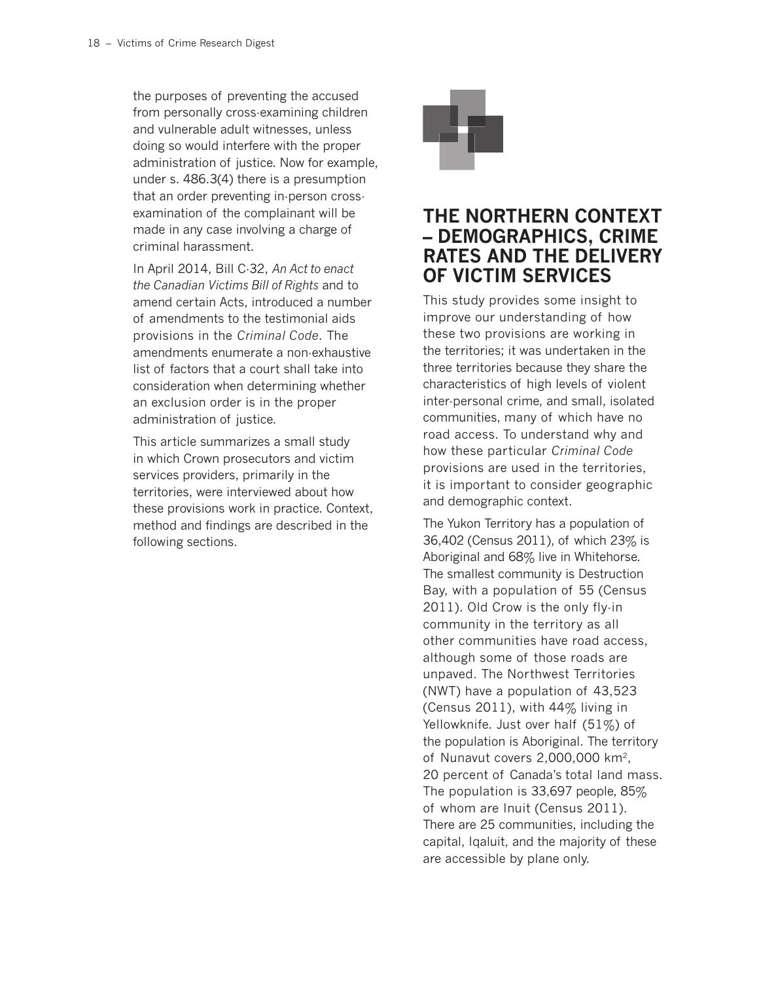the purposes of preventing the accused from personally cross-examining children and vulnerable adult witnesses, unless doing so would interfere with the proper administration of justice. Now for example, under s. 486.3(4) there is a presumption that an order preventing in-person crossexamination of the complainant will be made in any case involving a charge of criminal harassment.

In April 2014, Bill C-32, *An Act to enact the Canadian Victims Bill of Rights* and to amend certain Acts, introduced a number of amendments to the testimonial aids provisions in the *Criminal Code*. The amendments enumerate a non-exhaustive list of factors that a court shall take into consideration when determining whether an exclusion order is in the proper administration of justice.

This article summarizes a small study in which Crown prosecutors and victim services providers, primarily in the territories, were interviewed about how these provisions work in practice. Context, method and findings are described in the following sections.



### **THE NORTHERN CONTEXT – DEMOGRAPHICS, CRIME RATES AND THE DELIVERY OF VICTIM SERVICES**

This study provides some insight to improve our understanding of how these two provisions are working in the territories; it was undertaken in the three territories because they share the characteristics of high levels of violent inter-personal crime, and small, isolated communities, many of which have no road access. To understand why and how these particular *Criminal Code* provisions are used in the territories, it is important to consider geographic and demographic context.

The Yukon Territory has a population of 36,402 (Census 2011), of which 23% is Aboriginal and 68% live in Whitehorse. The smallest community is Destruction Bay, with a population of 55 (Census 2011). Old Crow is the only fly-in community in the territory as all other communities have road access, although some of those roads are unpaved. The Northwest Territories (NWT) have a population of 43,523 (Census 2011), with 44% living in Yellowknife. Just over half (51%) of the population is Aboriginal. The territory of Nunavut covers 2,000,000 km2, 20 percent of Canada's total land mass. The population is 33,697 people, 85% of whom are Inuit (Census 2011). There are 25 communities, including the capital, Iqaluit, and the majority of these are accessible by plane only.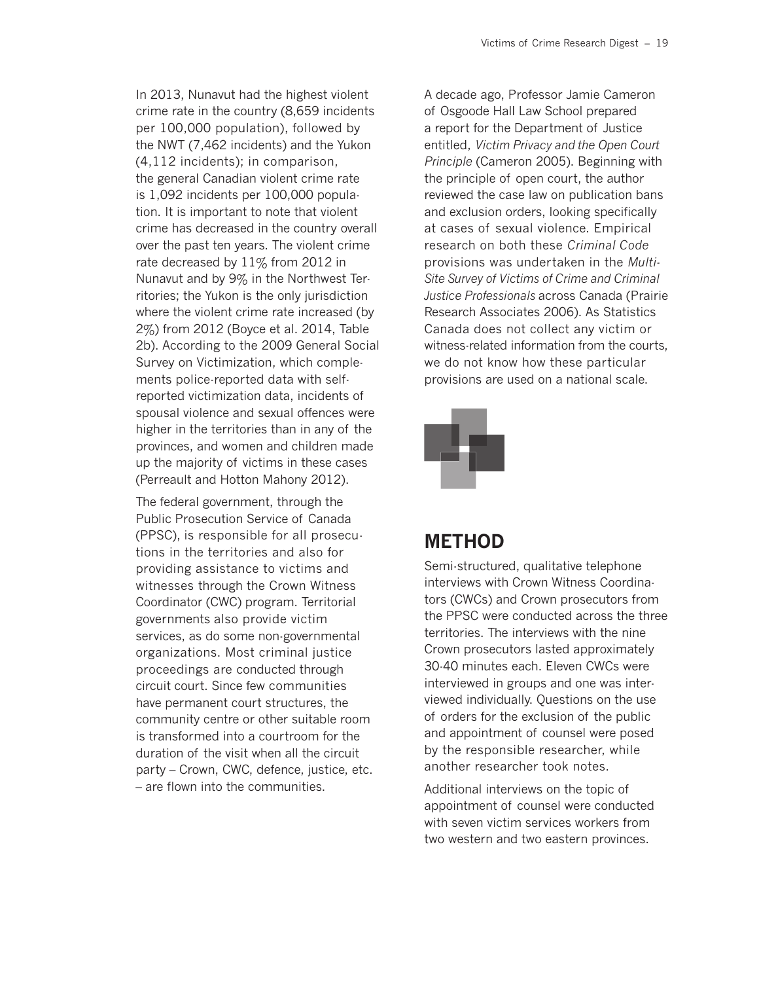In 2013, Nunavut had the highest violent crime rate in the country (8,659 incidents per 100,000 population), followed by the NWT (7,462 incidents) and the Yukon (4,112 incidents); in comparison, the general Canadian violent crime rate is 1,092 incidents per 100,000 population. It is important to note that violent crime has decreased in the country overall over the past ten years. The violent crime rate decreased by 11% from 2012 in Nunavut and by 9% in the Northwest Territories; the Yukon is the only jurisdiction where the violent crime rate increased (by 2%) from 2012 (Boyce et al. 2014, Table 2b). According to the 2009 General Social Survey on Victimization, which complements police-reported data with selfreported victimization data, incidents of spousal violence and sexual offences were higher in the territories than in any of the provinces, and women and children made up the majority of victims in these cases (Perreault and Hotton Mahony 2012).

The federal government, through the Public Prosecution Service of Canada (PPSC), is responsible for all prosecutions in the territories and also for providing assistance to victims and witnesses through the Crown Witness Coordinator (CWC) program. Territorial governments also provide victim services, as do some non-governmental organizations. Most criminal justice proceedings are conducted through circuit court. Since few communities have permanent court structures, the community centre or other suitable room is transformed into a courtroom for the duration of the visit when all the circuit party – Crown, CWC, defence, justice, etc. – are flown into the communities.

A decade ago, Professor Jamie Cameron of Osgoode Hall Law School prepared a report for the Department of Justice entitled, *Victim Privacy and the Open Court Principle* (Cameron 2005). Beginning with the principle of open court, the author reviewed the case law on publication bans and exclusion orders, looking specifically at cases of sexual violence. Empirical research on both these *Criminal Code* provisions was undertaken in the *Multi-Site Survey of Victims of Crime and Criminal Justice Professionals* across Canada (Prairie Research Associates 2006). As Statistics Canada does not collect any victim or witness-related information from the courts, we do not know how these particular provisions are used on a national scale.



### **METHOD**

Semi-structured, qualitative telephone interviews with Crown Witness Coordinators (CWCs) and Crown prosecutors from the PPSC were conducted across the three territories. The interviews with the nine Crown prosecutors lasted approximately 30-40 minutes each. Eleven CWCs were interviewed in groups and one was interviewed individually. Questions on the use of orders for the exclusion of the public and appointment of counsel were posed by the responsible researcher, while another researcher took notes.

Additional interviews on the topic of appointment of counsel were conducted with seven victim services workers from two western and two eastern provinces.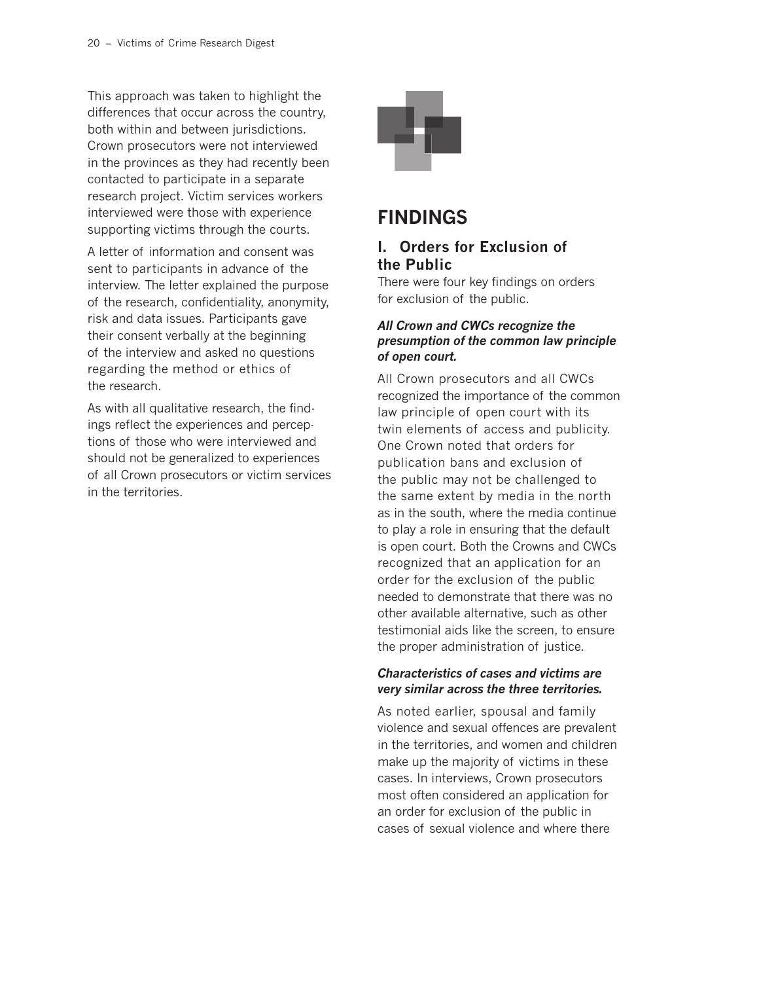This approach was taken to highlight the differences that occur across the country, both within and between jurisdictions. Crown prosecutors were not interviewed in the provinces as they had recently been contacted to participate in a separate research project. Victim services workers interviewed were those with experience supporting victims through the courts.

A letter of information and consent was sent to participants in advance of the interview. The letter explained the purpose of the research, confidentiality, anonymity, risk and data issues. Participants gave their consent verbally at the beginning of the interview and asked no questions regarding the method or ethics of the research.

As with all qualitative research, the findings reflect the experiences and perceptions of those who were interviewed and should not be generalized to experiences of all Crown prosecutors or victim services in the territories.



### **FINDINGS**

### **I. Orders for Exclusion of the Public**

There were four key findings on orders for exclusion of the public.

### *All Crown and CWCs recognize the presumption of the common law principle of open court.*

All Crown prosecutors and all CWCs recognized the importance of the common law principle of open court with its twin elements of access and publicity. One Crown noted that orders for publication bans and exclusion of the public may not be challenged to the same extent by media in the north as in the south, where the media continue to play a role in ensuring that the default is open court. Both the Crowns and CWCs recognized that an application for an order for the exclusion of the public needed to demonstrate that there was no other available alternative, such as other testimonial aids like the screen, to ensure the proper administration of justice.

### *Characteristics of cases and victims are very similar across the three territories.*

As noted earlier, spousal and family violence and sexual offences are prevalent in the territories, and women and children make up the majority of victims in these cases. In interviews, Crown prosecutors most often considered an application for an order for exclusion of the public in cases of sexual violence and where there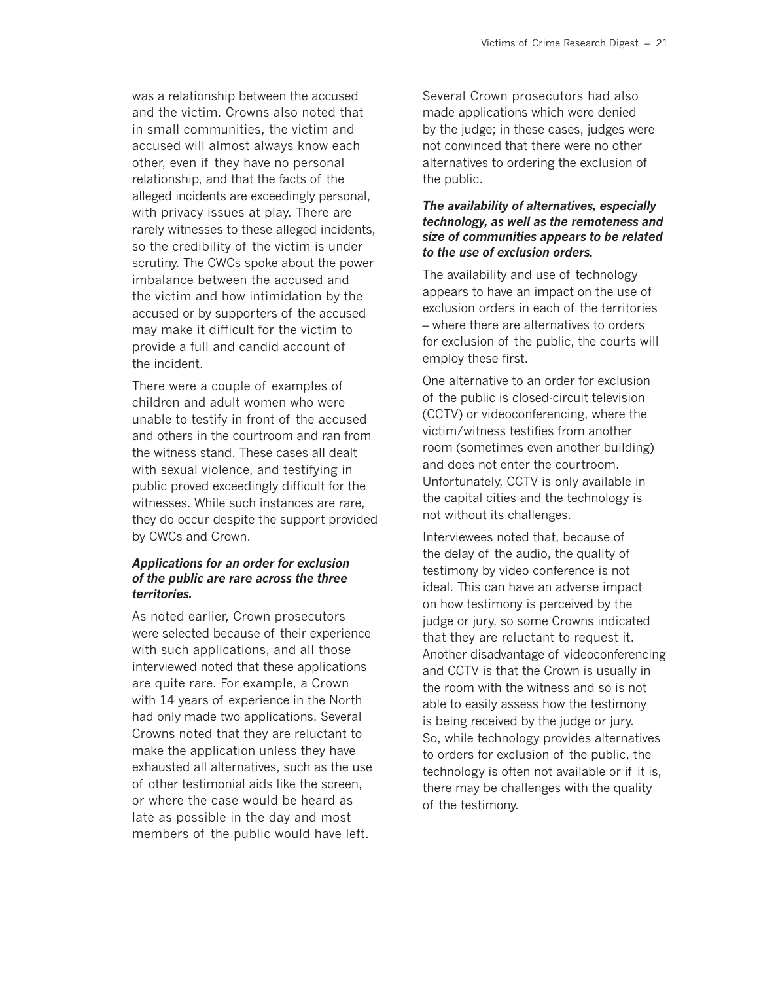was a relationship between the accused and the victim. Crowns also noted that in small communities, the victim and accused will almost always know each other, even if they have no personal relationship, and that the facts of the alleged incidents are exceedingly personal, with privacy issues at play. There are rarely witnesses to these alleged incidents, so the credibility of the victim is under scrutiny. The CWCs spoke about the power imbalance between the accused and the victim and how intimidation by the accused or by supporters of the accused may make it difficult for the victim to provide a full and candid account of the incident.

There were a couple of examples of children and adult women who were unable to testify in front of the accused and others in the courtroom and ran from the witness stand. These cases all dealt with sexual violence, and testifying in public proved exceedingly difficult for the witnesses. While such instances are rare, they do occur despite the support provided by CWCs and Crown.

#### *Applications for an order for exclusion of the public are rare across the three territories.*

As noted earlier, Crown prosecutors were selected because of their experience with such applications, and all those interviewed noted that these applications are quite rare. For example, a Crown with 14 years of experience in the North had only made two applications. Several Crowns noted that they are reluctant to make the application unless they have exhausted all alternatives, such as the use of other testimonial aids like the screen, or where the case would be heard as late as possible in the day and most members of the public would have left.

Several Crown prosecutors had also made applications which were denied by the judge; in these cases, judges were not convinced that there were no other alternatives to ordering the exclusion of the public.

#### *The availability of alternatives, especially technology, as well as the remoteness and size of communities appears to be related to the use of exclusion orders.*

The availability and use of technology appears to have an impact on the use of exclusion orders in each of the territories – where there are alternatives to orders for exclusion of the public, the courts will employ these first.

One alternative to an order for exclusion of the public is closed-circuit television (CCTV) or videoconferencing, where the victim/witness testifies from another room (sometimes even another building) and does not enter the courtroom. Unfortunately, CCTV is only available in the capital cities and the technology is not without its challenges.

Interviewees noted that, because of the delay of the audio, the quality of testimony by video conference is not ideal. This can have an adverse impact on how testimony is perceived by the judge or jury, so some Crowns indicated that they are reluctant to request it. Another disadvantage of videoconferencing and CCTV is that the Crown is usually in the room with the witness and so is not able to easily assess how the testimony is being received by the judge or jury. So, while technology provides alternatives to orders for exclusion of the public, the technology is often not available or if it is, there may be challenges with the quality of the testimony.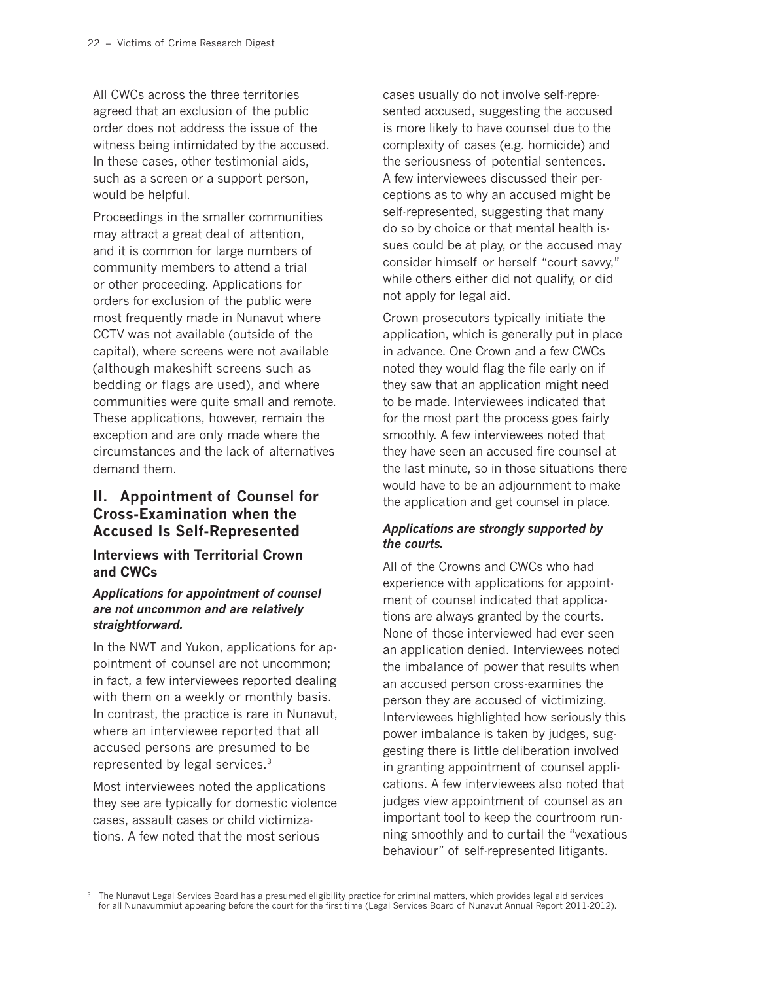All CWCs across the three territories agreed that an exclusion of the public order does not address the issue of the witness being intimidated by the accused. In these cases, other testimonial aids, such as a screen or a support person, would be helpful.

Proceedings in the smaller communities may attract a great deal of attention, and it is common for large numbers of community members to attend a trial or other proceeding. Applications for orders for exclusion of the public were most frequently made in Nunavut where CCTV was not available (outside of the capital), where screens were not available (although makeshift screens such as bedding or flags are used), and where communities were quite small and remote. These applications, however, remain the exception and are only made where the circumstances and the lack of alternatives demand them.

### **II. Appointment of Counsel for Cross-Examination when the Accused Is Self-Represented**

### **Interviews with Territorial Crown and CWCs**

#### *Applications for appointment of counsel are not uncommon and are relatively straightforward.*

In the NWT and Yukon, applications for appointment of counsel are not uncommon; in fact, a few interviewees reported dealing with them on a weekly or monthly basis. In contrast, the practice is rare in Nunavut, where an interviewee reported that all accused persons are presumed to be represented by legal services.3

Most interviewees noted the applications they see are typically for domestic violence cases, assault cases or child victimizations. A few noted that the most serious

cases usually do not involve self-represented accused, suggesting the accused is more likely to have counsel due to the complexity of cases (e.g. homicide) and the seriousness of potential sentences. A few interviewees discussed their perceptions as to why an accused might be self-represented, suggesting that many do so by choice or that mental health issues could be at play, or the accused may consider himself or herself "court savvy," while others either did not qualify, or did not apply for legal aid.

Crown prosecutors typically initiate the application, which is generally put in place in advance. One Crown and a few CWCs noted they would flag the file early on if they saw that an application might need to be made. Interviewees indicated that for the most part the process goes fairly smoothly. A few interviewees noted that they have seen an accused fire counsel at the last minute, so in those situations there would have to be an adjournment to make the application and get counsel in place.

### *Applications are strongly supported by the courts.*

All of the Crowns and CWCs who had experience with applications for appointment of counsel indicated that applications are always granted by the courts. None of those interviewed had ever seen an application denied. Interviewees noted the imbalance of power that results when an accused person cross-examines the person they are accused of victimizing. Interviewees highlighted how seriously this power imbalance is taken by judges, suggesting there is little deliberation involved in granting appointment of counsel applications. A few interviewees also noted that judges view appointment of counsel as an important tool to keep the courtroom running smoothly and to curtail the "vexatious behaviour" of self-represented litigants.

<sup>3</sup> The Nunavut Legal Services Board has a presumed eligibility practice for criminal matters, which provides legal aid services for all Nunavummiut appearing before the court for the first time (Legal Services Board of Nunavut Annual Report 2011-2012).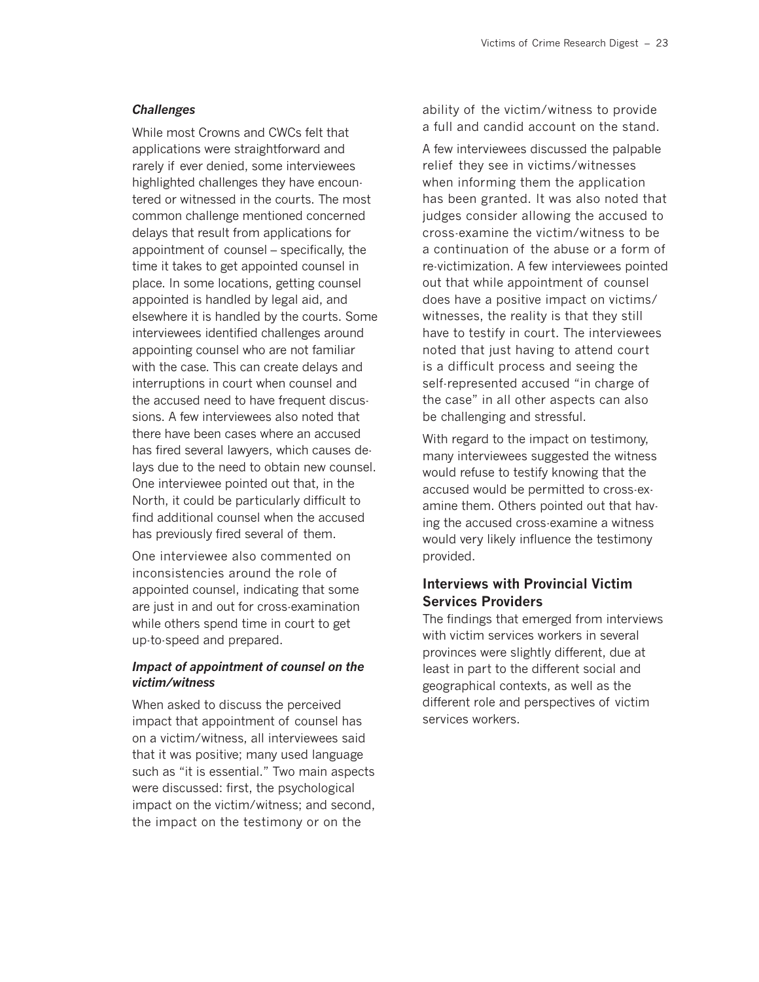#### *Challenges*

While most Crowns and CWCs felt that applications were straightforward and rarely if ever denied, some interviewees highlighted challenges they have encountered or witnessed in the courts. The most common challenge mentioned concerned delays that result from applications for appointment of counsel – specifically, the time it takes to get appointed counsel in place. In some locations, getting counsel appointed is handled by legal aid, and elsewhere it is handled by the courts. Some interviewees identified challenges around appointing counsel who are not familiar with the case. This can create delays and interruptions in court when counsel and the accused need to have frequent discussions. A few interviewees also noted that there have been cases where an accused has fired several lawyers, which causes delays due to the need to obtain new counsel. One interviewee pointed out that, in the North, it could be particularly difficult to find additional counsel when the accused has previously fired several of them.

One interviewee also commented on inconsistencies around the role of appointed counsel, indicating that some are just in and out for cross-examination while others spend time in court to get up-to-speed and prepared.

#### *Impact of appointment of counsel on the victim/witness*

When asked to discuss the perceived impact that appointment of counsel has on a victim/witness, all interviewees said that it was positive; many used language such as "it is essential." Two main aspects were discussed: first, the psychological impact on the victim/witness; and second, the impact on the testimony or on the

ability of the victim/witness to provide a full and candid account on the stand.

A few interviewees discussed the palpable relief they see in victims/witnesses when informing them the application has been granted. It was also noted that judges consider allowing the accused to cross-examine the victim/witness to be a continuation of the abuse or a form of re-victimization. A few interviewees pointed out that while appointment of counsel does have a positive impact on victims/ witnesses, the reality is that they still have to testify in court. The interviewees noted that just having to attend court is a difficult process and seeing the self-represented accused "in charge of the case" in all other aspects can also be challenging and stressful.

With regard to the impact on testimony, many interviewees suggested the witness would refuse to testify knowing that the accused would be permitted to cross-examine them. Others pointed out that having the accused cross-examine a witness would very likely influence the testimony provided.

### **Interviews with Provincial Victim Services Providers**

The findings that emerged from interviews with victim services workers in several provinces were slightly different, due at least in part to the different social and geographical contexts, as well as the different role and perspectives of victim services workers.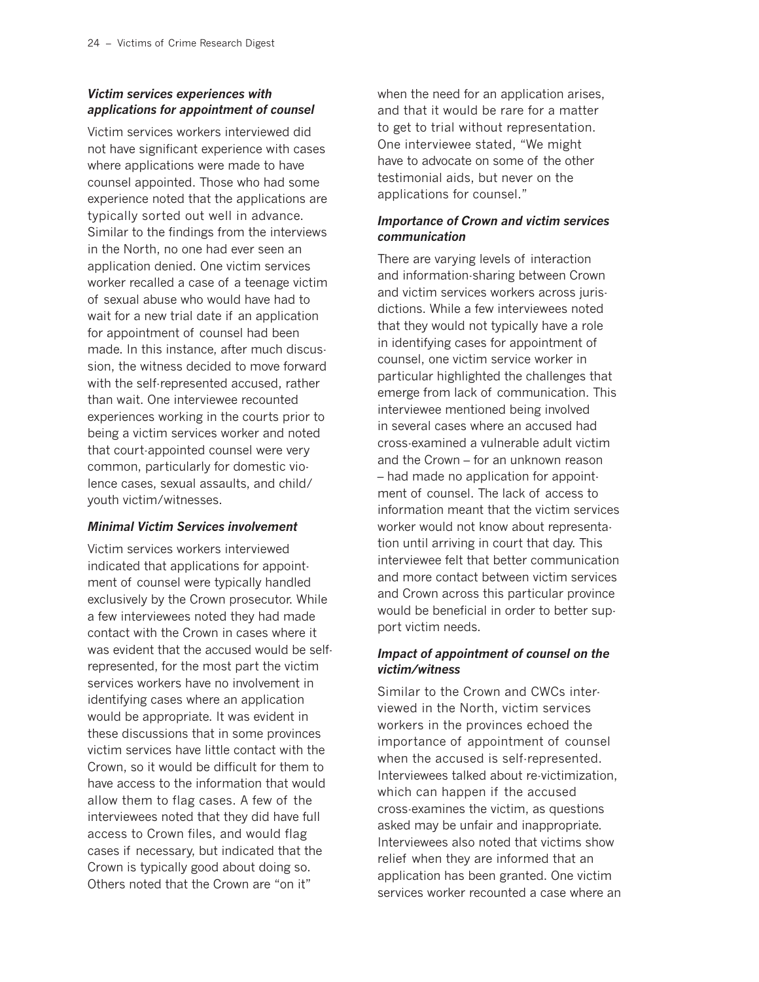### *Victim services experiences with applications for appointment of counsel*

Victim services workers interviewed did not have significant experience with cases where applications were made to have counsel appointed. Those who had some experience noted that the applications are typically sorted out well in advance. Similar to the findings from the interviews in the North, no one had ever seen an application denied. One victim services worker recalled a case of a teenage victim of sexual abuse who would have had to wait for a new trial date if an application for appointment of counsel had been made. In this instance, after much discussion, the witness decided to move forward with the self-represented accused, rather than wait. One interviewee recounted experiences working in the courts prior to being a victim services worker and noted that court-appointed counsel were very common, particularly for domestic violence cases, sexual assaults, and child/ youth victim/witnesses.

#### *Minimal Victim Services involvement*

Victim services workers interviewed indicated that applications for appointment of counsel were typically handled exclusively by the Crown prosecutor. While a few interviewees noted they had made contact with the Crown in cases where it was evident that the accused would be selfrepresented, for the most part the victim services workers have no involvement in identifying cases where an application would be appropriate. It was evident in these discussions that in some provinces victim services have little contact with the Crown, so it would be difficult for them to have access to the information that would allow them to flag cases. A few of the interviewees noted that they did have full access to Crown files, and would flag cases if necessary, but indicated that the Crown is typically good about doing so. Others noted that the Crown are "on it"

when the need for an application arises, and that it would be rare for a matter to get to trial without representation. One interviewee stated, "We might have to advocate on some of the other testimonial aids, but never on the applications for counsel."

#### *Importance of Crown and victim services communication*

There are varying levels of interaction and information-sharing between Crown and victim services workers across jurisdictions. While a few interviewees noted that they would not typically have a role in identifying cases for appointment of counsel, one victim service worker in particular highlighted the challenges that emerge from lack of communication. This interviewee mentioned being involved in several cases where an accused had cross-examined a vulnerable adult victim and the Crown – for an unknown reason – had made no application for appointment of counsel. The lack of access to information meant that the victim services worker would not know about representation until arriving in court that day. This interviewee felt that better communication and more contact between victim services and Crown across this particular province would be beneficial in order to better support victim needs.

#### *Impact of appointment of counsel on the victim/witness*

Similar to the Crown and CWCs interviewed in the North, victim services workers in the provinces echoed the importance of appointment of counsel when the accused is self-represented. Interviewees talked about re-victimization, which can happen if the accused cross-examines the victim, as questions asked may be unfair and inappropriate. Interviewees also noted that victims show relief when they are informed that an application has been granted. One victim services worker recounted a case where an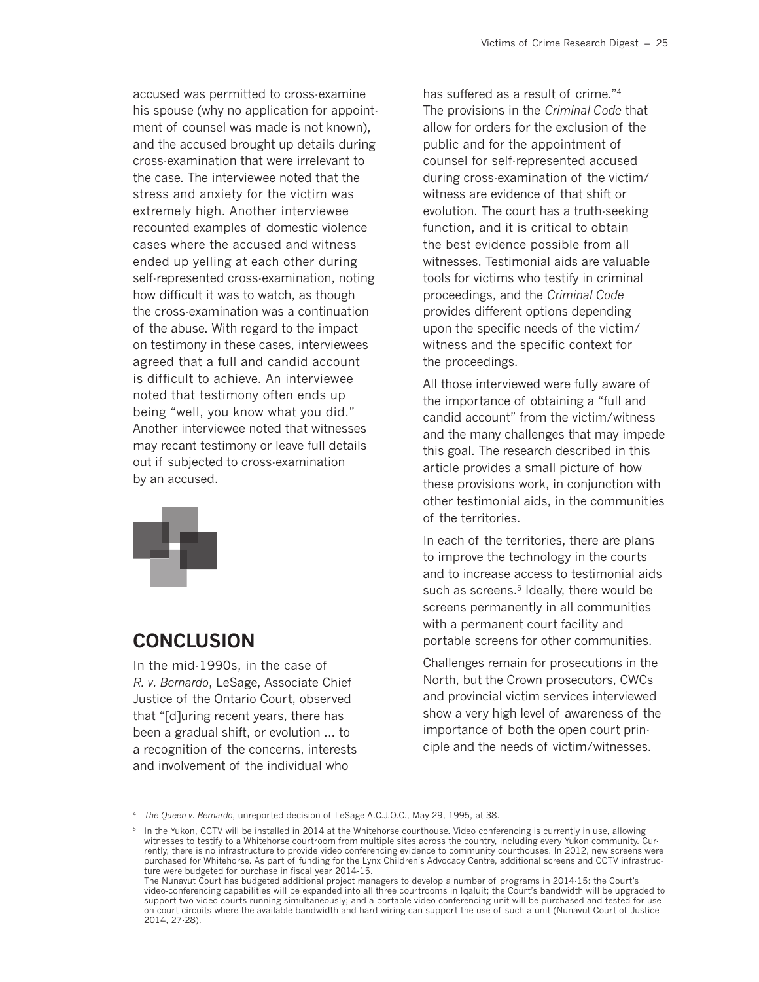accused was permitted to cross-examine his spouse (why no application for appointment of counsel was made is not known), and the accused brought up details during cross-examination that were irrelevant to the case. The interviewee noted that the stress and anxiety for the victim was extremely high. Another interviewee recounted examples of domestic violence cases where the accused and witness ended up yelling at each other during self-represented cross-examination, noting how difficult it was to watch, as though the cross-examination was a continuation of the abuse. With regard to the impact on testimony in these cases, interviewees agreed that a full and candid account is difficult to achieve. An interviewee noted that testimony often ends up being "well, you know what you did." Another interviewee noted that witnesses may recant testimony or leave full details out if subjected to cross-examination by an accused.



### **CONCLUSION**

In the mid-1990s, in the case of *R. v. Bernardo*, LeSage, Associate Chief Justice of the Ontario Court, observed that "[d]uring recent years, there has been a gradual shift, or evolution ... to a recognition of the concerns, interests and involvement of the individual who

has suffered as a result of crime."4 The provisions in the *Criminal Code* that allow for orders for the exclusion of the public and for the appointment of counsel for self-represented accused during cross-examination of the victim/ witness are evidence of that shift or evolution. The court has a truth-seeking function, and it is critical to obtain the best evidence possible from all witnesses. Testimonial aids are valuable tools for victims who testify in criminal proceedings, and the *Criminal Code* provides different options depending upon the specific needs of the victim/ witness and the specific context for the proceedings.

All those interviewed were fully aware of the importance of obtaining a "full and candid account" from the victim/witness and the many challenges that may impede this goal. The research described in this article provides a small picture of how these provisions work, in conjunction with other testimonial aids, in the communities of the territories.

In each of the territories, there are plans to improve the technology in the courts and to increase access to testimonial aids such as screens.<sup>5</sup> Ideally, there would be screens permanently in all communities with a permanent court facility and portable screens for other communities.

Challenges remain for prosecutions in the North, but the Crown prosecutors, CWCs and provincial victim services interviewed show a very high level of awareness of the importance of both the open court principle and the needs of victim/witnesses.

<sup>4</sup> *The Queen v. Bernardo*, unreported decision of LeSage A.C.J.O.C., May 29, 1995, at 38.

<sup>5</sup> In the Yukon, CCTV will be installed in 2014 at the Whitehorse courthouse. Video conferencing is currently in use, allowing witnesses to testify to a Whitehorse courtroom from multiple sites across the country, including every Yukon community. Currently, there is no infrastructure to provide video conferencing evidence to community courthouses. In 2012, new screens were purchased for Whitehorse. As part of funding for the Lynx Children's Advocacy Centre, additional screens and CCTV infrastructure were budgeted for purchase in fiscal year 2014-15.

The Nunavut Court has budgeted additional project managers to develop a number of programs in 2014-15: the Court's video-conferencing capabilities will be expanded into all three courtrooms in Iqaluit; the Court's bandwidth will be upgraded to support two video courts running simultaneously; and a portable video-conferencing unit will be purchased and tested for use on court circuits where the available bandwidth and hard wiring can support the use of such a unit (Nunavut Court of Justice 2014, 27-28).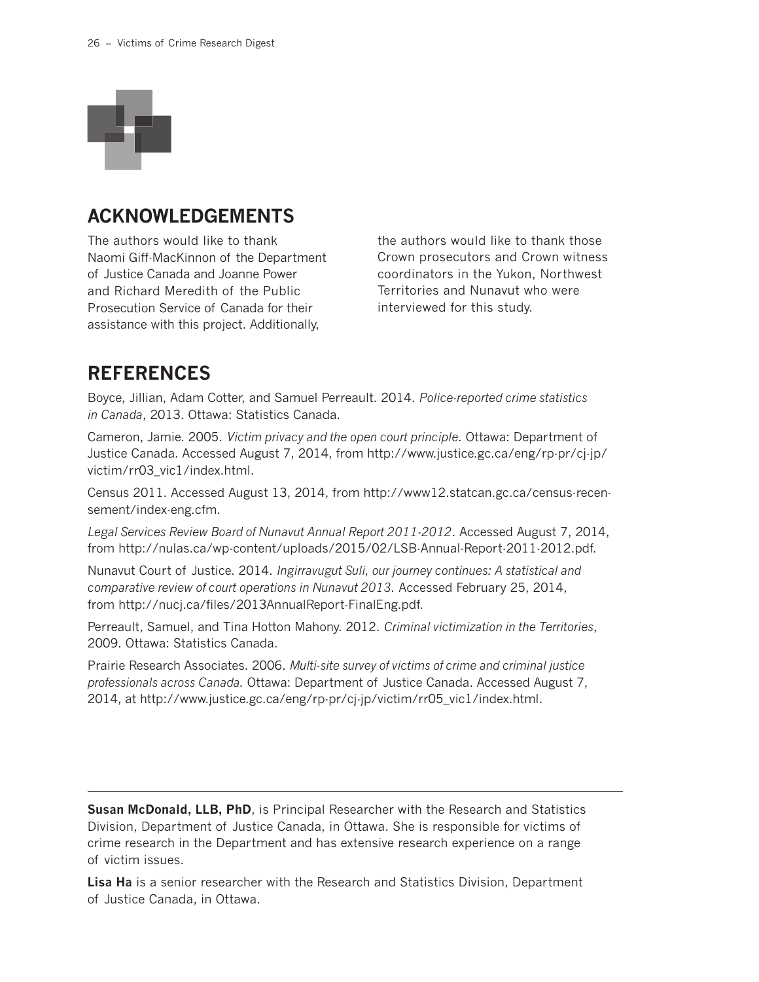

### **ACKNOWLEDGEMENTS**

The authors would like to thank Naomi Giff-MacKinnon of the Department of Justice Canada and Joanne Power and Richard Meredith of the Public Prosecution Service of Canada for their assistance with this project. Additionally,

the authors would like to thank those Crown prosecutors and Crown witness coordinators in the Yukon, Northwest Territories and Nunavut who were interviewed for this study.

### **REFERENCES**

Boyce, Jillian, Adam Cotter, and Samuel Perreault. 2014. *Police-reported crime statistics in Canada*, 2013. Ottawa: Statistics Canada.

Cameron, Jamie. 2005. *Victim privacy and the open court principle*. Ottawa: Department of Justice Canada. Accessed August 7, 2014, from http://www.justice.gc.ca/eng/rp-pr/cj-jp/ victim/rr03\_vic1/index.html.

Census 2011. Accessed August 13, 2014, from http://www12.statcan.gc.ca/census-recensement/index-eng.cfm.

*Legal Services Review Board of Nunavut Annual Report 2011-2012*. Accessed August 7, 2014, from http://nulas.ca/wp-content/uploads/2015/02/LSB-Annual-Report-2011-2012.pdf.

Nunavut Court of Justice. 2014. *Ingirravugut Suli, our journey continues: A statistical and comparative review of court operations in Nunavut 2013.* Accessed February 25, 2014, from http://nucj.ca/files/2013AnnualReport-FinalEng.pdf.

Perreault, Samuel, and Tina Hotton Mahony. 2012. *Criminal victimization in the Territories*, 2009. Ottawa: Statistics Canada.

Prairie Research Associates. 2006. *Multi-site survey of victims of crime and criminal justice professionals across Canada.* Ottawa: Department of Justice Canada. Accessed August 7, 2014, at http://www.justice.gc.ca/eng/rp-pr/cj-jp/victim/rr05\_vic1/index.html.

**Susan McDonald, LLB, PhD**, is Principal Researcher with the Research and Statistics Division, Department of Justice Canada, in Ottawa. She is responsible for victims of crime research in the Department and has extensive research experience on a range of victim issues.

**Lisa Ha** is a senior researcher with the Research and Statistics Division, Department of Justice Canada, in Ottawa.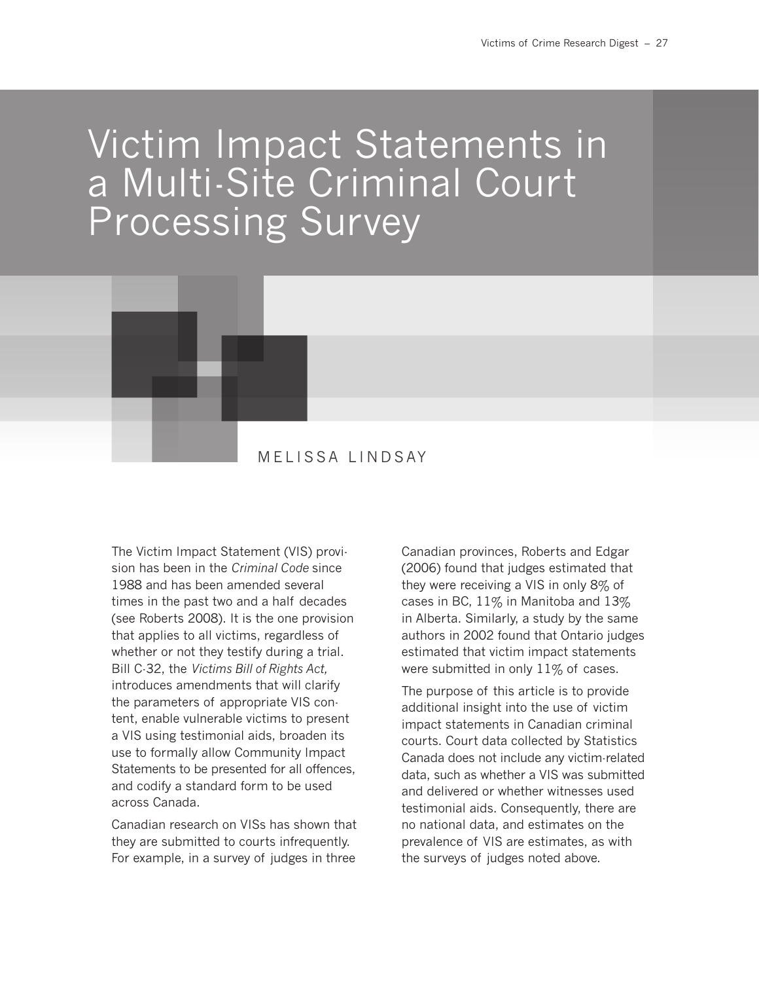# Victim Impact Statements in a Multi-Site Criminal Court Processing Survey



### MELISSA LINDSAY

The Victim Impact Statement (VIS) provision has been in the *Criminal Code* since 1988 and has been amended several times in the past two and a half decades (see Roberts 2008). It is the one provision that applies to all victims, regardless of whether or not they testify during a trial. Bill C-32, the *Victims Bill of Rights Act,* introduces amendments that will clarify the parameters of appropriate VIS content, enable vulnerable victims to present a VIS using testimonial aids, broaden its use to formally allow Community Impact Statements to be presented for all offences, and codify a standard form to be used across Canada.

Canadian research on VISs has shown that they are submitted to courts infrequently. For example, in a survey of judges in three

Canadian provinces, Roberts and Edgar (2006) found that judges estimated that they were receiving a VIS in only 8% of cases in BC,  $11\%$  in Manitoba and  $13\%$ in Alberta. Similarly, a study by the same authors in 2002 found that Ontario judges estimated that victim impact statements were submitted in only  $11\%$  of cases.

The purpose of this article is to provide additional insight into the use of victim impact statements in Canadian criminal courts. Court data collected by Statistics Canada does not include any victim-related data, such as whether a VIS was submitted and delivered or whether witnesses used testimonial aids. Consequently, there are no national data, and estimates on the prevalence of VIS are estimates, as with the surveys of judges noted above.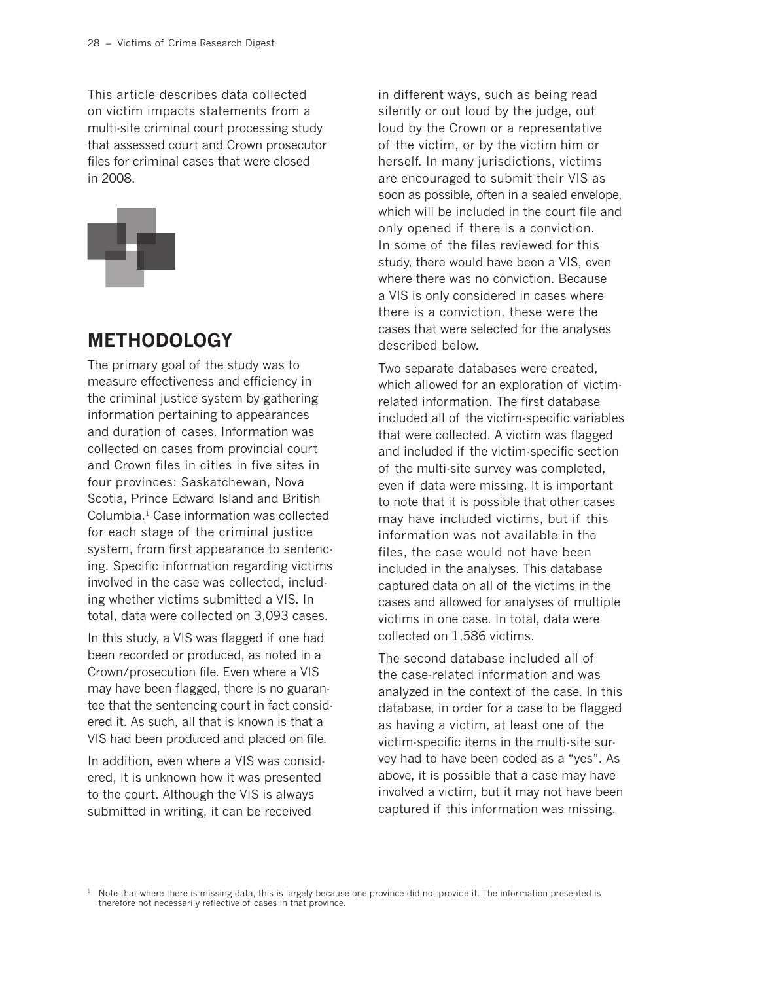This article describes data collected on victim impacts statements from a multi-site criminal court processing study that assessed court and Crown prosecutor files for criminal cases that were closed in 2008.



### **METHODOLOGY**

The primary goal of the study was to measure effectiveness and efficiency in the criminal justice system by gathering information pertaining to appearances and duration of cases. Information was collected on cases from provincial court and Crown files in cities in five sites in four provinces: Saskatchewan, Nova Scotia, Prince Edward Island and British Columbia.1 Case information was collected for each stage of the criminal justice system, from first appearance to sentencing. Specific information regarding victims involved in the case was collected, including whether victims submitted a VIS. In total, data were collected on 3,093 cases.

In this study, a VIS was flagged if one had been recorded or produced, as noted in a Crown/prosecution file. Even where a VIS may have been flagged, there is no guarantee that the sentencing court in fact considered it. As such, all that is known is that a VIS had been produced and placed on file.

In addition, even where a VIS was considered, it is unknown how it was presented to the court. Although the VIS is always submitted in writing, it can be received

in different ways, such as being read silently or out loud by the judge, out loud by the Crown or a representative of the victim, or by the victim him or herself. In many jurisdictions, victims are encouraged to submit their VIS as soon as possible, often in a sealed envelope, which will be included in the court file and only opened if there is a conviction. In some of the files reviewed for this study, there would have been a VIS, even where there was no conviction. Because a VIS is only considered in cases where there is a conviction, these were the cases that were selected for the analyses described below.

Two separate databases were created, which allowed for an exploration of victimrelated information. The first database included all of the victim-specific variables that were collected. A victim was flagged and included if the victim-specific section of the multi-site survey was completed, even if data were missing. It is important to note that it is possible that other cases may have included victims, but if this information was not available in the files, the case would not have been included in the analyses. This database captured data on all of the victims in the cases and allowed for analyses of multiple victims in one case. In total, data were collected on 1,586 victims.

The second database included all of the case-related information and was analyzed in the context of the case. In this database, in order for a case to be flagged as having a victim, at least one of the victim-specific items in the multi-site survey had to have been coded as a "yes". As above, it is possible that a case may have involved a victim, but it may not have been captured if this information was missing.

<sup>&</sup>lt;sup>1</sup> Note that where there is missing data, this is largely because one province did not provide it. The information presented is therefore not necessarily reflective of cases in that province.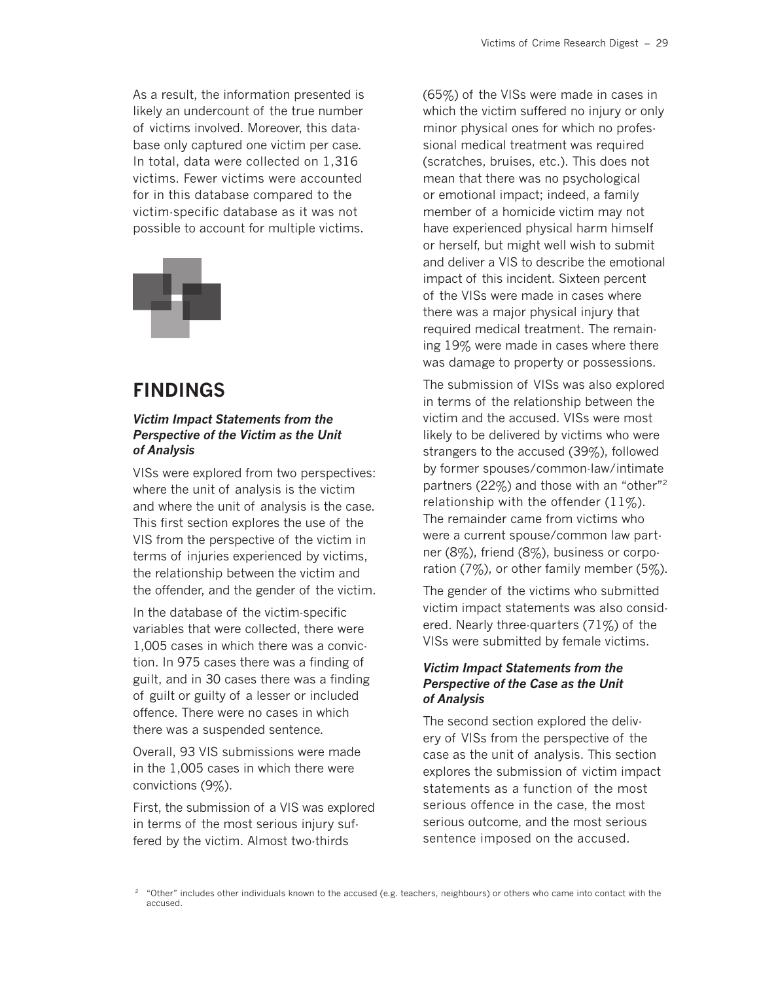As a result, the information presented is likely an undercount of the true number of victims involved. Moreover, this database only captured one victim per case. In total, data were collected on 1,316 victims. Fewer victims were accounted for in this database compared to the victim-specific database as it was not possible to account for multiple victims.



### **FINDINGS**

#### *Victim Impact Statements from the Perspective of the Victim as the Unit of Analysis*

VISs were explored from two perspectives: where the unit of analysis is the victim and where the unit of analysis is the case. This first section explores the use of the VIS from the perspective of the victim in terms of injuries experienced by victims, the relationship between the victim and the offender, and the gender of the victim.

In the database of the victim-specific variables that were collected, there were 1,005 cases in which there was a conviction. In 975 cases there was a finding of guilt, and in 30 cases there was a finding of guilt or guilty of a lesser or included offence. There were no cases in which there was a suspended sentence.

Overall, 93 VIS submissions were made in the 1,005 cases in which there were convictions (9%).

First, the submission of a VIS was explored in terms of the most serious injury suffered by the victim. Almost two-thirds

(65%) of the VISs were made in cases in which the victim suffered no injury or only minor physical ones for which no professional medical treatment was required (scratches, bruises, etc.). This does not mean that there was no psychological or emotional impact; indeed, a family member of a homicide victim may not have experienced physical harm himself or herself, but might well wish to submit and deliver a VIS to describe the emotional impact of this incident. Sixteen percent of the VISs were made in cases where there was a major physical injury that required medical treatment. The remaining 19% were made in cases where there was damage to property or possessions.

The submission of VISs was also explored in terms of the relationship between the victim and the accused. VISs were most likely to be delivered by victims who were strangers to the accused (39%), followed by former spouses/common-law/intimate partners (22%) and those with an "other"2 relationship with the offender  $(11\%)$ . The remainder came from victims who were a current spouse/common law partner (8%), friend (8%), business or corporation  $(7\%)$ , or other family member  $(5\%)$ .

The gender of the victims who submitted victim impact statements was also considered. Nearly three-quarters (71%) of the VISs were submitted by female victims.

#### *Victim Impact Statements from the Perspective of the Case as the Unit of Analysis*

The second section explored the delivery of VISs from the perspective of the case as the unit of analysis. This section explores the submission of victim impact statements as a function of the most serious offence in the case, the most serious outcome, and the most serious sentence imposed on the accused.

<sup>2</sup> "Other" includes other individuals known to the accused (e.g. teachers, neighbours) or others who came into contact with the accused.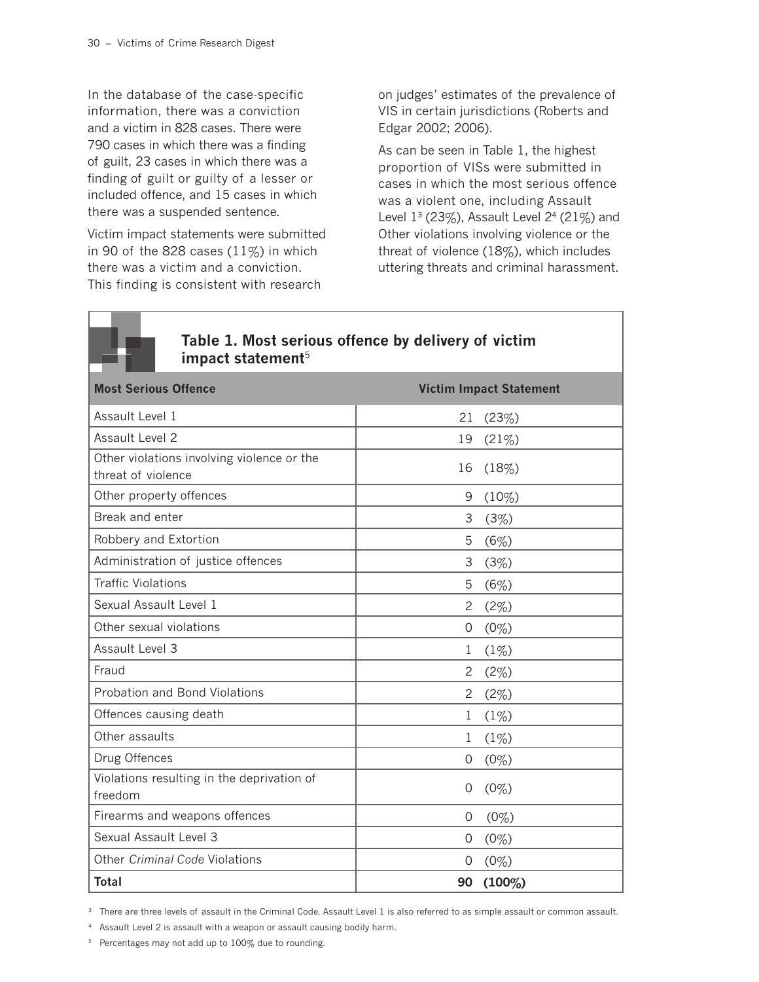In the database of the case-specific information, there was a conviction and a victim in 828 cases. There were 790 cases in which there was a finding of guilt, 23 cases in which there was a finding of guilt or guilty of a lesser or included offence, and 15 cases in which there was a suspended sentence.

Victim impact statements were submitted in 90 of the 828 cases  $(11\%)$  in which there was a victim and a conviction. This finding is consistent with research

on judges' estimates of the prevalence of VIS in certain jurisdictions (Roberts and Edgar 2002; 2006).

As can be seen in Table 1, the highest proportion of VISs were submitted in cases in which the most serious offence was a violent one, including Assault Level  $1^3$  (23%), Assault Level  $2^4$  (21%) and Other violations involving violence or the threat of violence (18%), which includes uttering threats and criminal harassment.



### **Table 1. Most serious offence by delivery of victim impact statement**<sup>5</sup>

| <b>Most Serious Offence</b>                                      |                       | <b>Victim Impact Statement</b> |
|------------------------------------------------------------------|-----------------------|--------------------------------|
| Assault Level 1                                                  | 21                    | (23%)                          |
| Assault Level 2                                                  | 19                    | (21%)                          |
| Other violations involving violence or the<br>threat of violence | 16                    | (18%)                          |
| Other property offences                                          | 9                     | $(10\%)$                       |
| Break and enter                                                  | 3                     | (3%)                           |
| Robbery and Extortion                                            | 5                     | (6%)                           |
| Administration of justice offences                               | 3                     | (3%)                           |
| <b>Traffic Violations</b>                                        | 5                     | (6%)                           |
| Sexual Assault Level 1                                           | $\overline{c}$        | (2%)                           |
| Other sexual violations                                          | 0                     | (0%)                           |
| Assault Level 3                                                  | 1                     | (1%)                           |
| Fraud                                                            | 2                     | (2%)                           |
| <b>Probation and Bond Violations</b>                             | $\mathbf{2}^{\prime}$ | (2%)                           |
| Offences causing death                                           | 1                     | (1%)                           |
| Other assaults                                                   | 1                     | (1%)                           |
| Drug Offences                                                    | 0                     | (0%)                           |
| Violations resulting in the deprivation of<br>freedom            | $\Omega$              | $(0\%)$                        |
| Firearms and weapons offences                                    | 0                     | $(0\%)$                        |
| Sexual Assault Level 3                                           | 0                     | (0%)                           |
| Other Criminal Code Violations                                   | 0                     | (0%)                           |
| <b>Total</b>                                                     | 90                    | $(100\%)$                      |

<sup>3</sup> There are three levels of assault in the Criminal Code. Assault Level 1 is also referred to as simple assault or common assault.

<sup>4</sup> Assault Level 2 is assault with a weapon or assault causing bodily harm.

<sup>5</sup> Percentages may not add up to 100% due to rounding.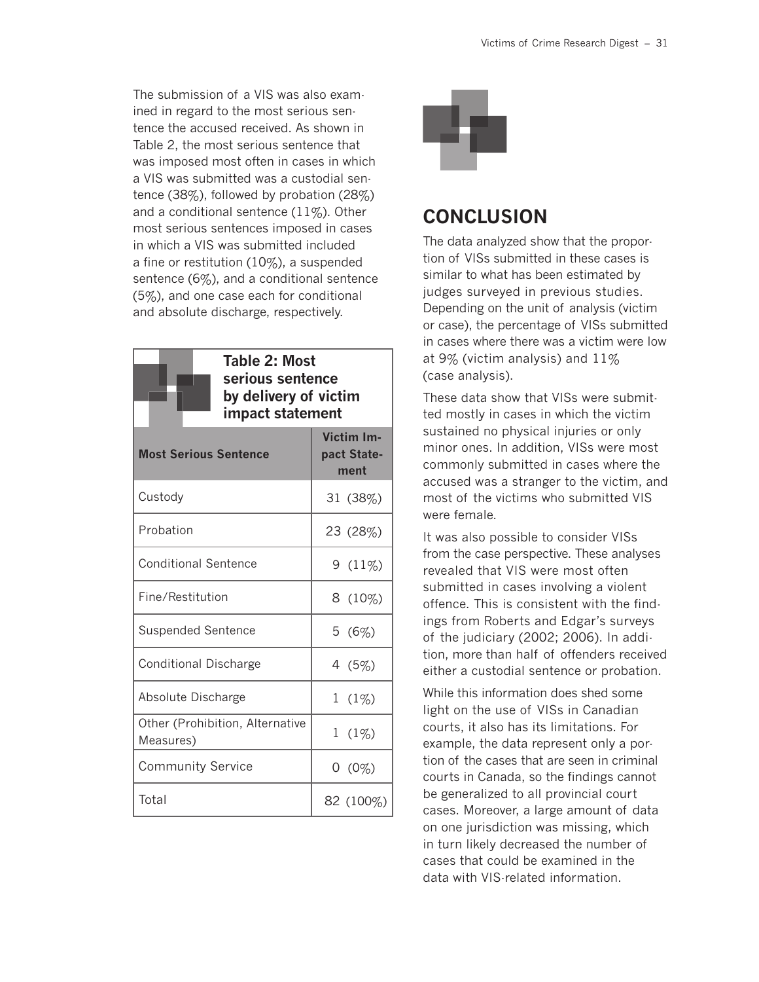The submission of a VIS was also examined in regard to the most serious sentence the accused received. As shown in Table 2, the most serious sentence that was imposed most often in cases in which a VIS was submitted was a custodial sentence (38%), followed by probation (28%) and a conditional sentence  $(11\%)$ . Other most serious sentences imposed in cases in which a VIS was submitted included a fine or restitution (10%), a suspended sentence (6%), and a conditional sentence (5%), and one case each for conditional and absolute discharge, respectively.



| <b>Most Serious Sentence</b>                 | Victim Im-<br>pact State-<br>ment |
|----------------------------------------------|-----------------------------------|
| Custody                                      | 31 (38%)                          |
| Probation                                    | 23 (28%)                          |
| <b>Conditional Sentence</b>                  | $9(11\%)$                         |
| Fine/Restitution                             | $8(10\%)$                         |
| <b>Suspended Sentence</b>                    | 5(6%)                             |
| Conditional Discharge                        | 4 (5%)                            |
| Absolute Discharge                           | $1(1\%)$                          |
| Other (Prohibition, Alternative<br>Measures) | $1(1\%)$                          |
| <b>Community Service</b>                     | $0(0\%)$                          |
| Total                                        | 82 (100%)                         |



### **CONCLUSION**

The data analyzed show that the proportion of VISs submitted in these cases is similar to what has been estimated by judges surveyed in previous studies. Depending on the unit of analysis (victim or case), the percentage of VISs submitted in cases where there was a victim were low at 9% (victim analysis) and 11% (case analysis).

These data show that VISs were submitted mostly in cases in which the victim sustained no physical injuries or only minor ones. In addition, VISs were most commonly submitted in cases where the accused was a stranger to the victim, and most of the victims who submitted VIS were female.

It was also possible to consider VISs from the case perspective. These analyses revealed that VIS were most often submitted in cases involving a violent offence. This is consistent with the findings from Roberts and Edgar's surveys of the judiciary (2002; 2006). In addition, more than half of offenders received either a custodial sentence or probation.

While this information does shed some light on the use of VISs in Canadian courts, it also has its limitations. For example, the data represent only a portion of the cases that are seen in criminal courts in Canada, so the findings cannot be generalized to all provincial court cases. Moreover, a large amount of data on one jurisdiction was missing, which in turn likely decreased the number of cases that could be examined in the data with VIS-related information.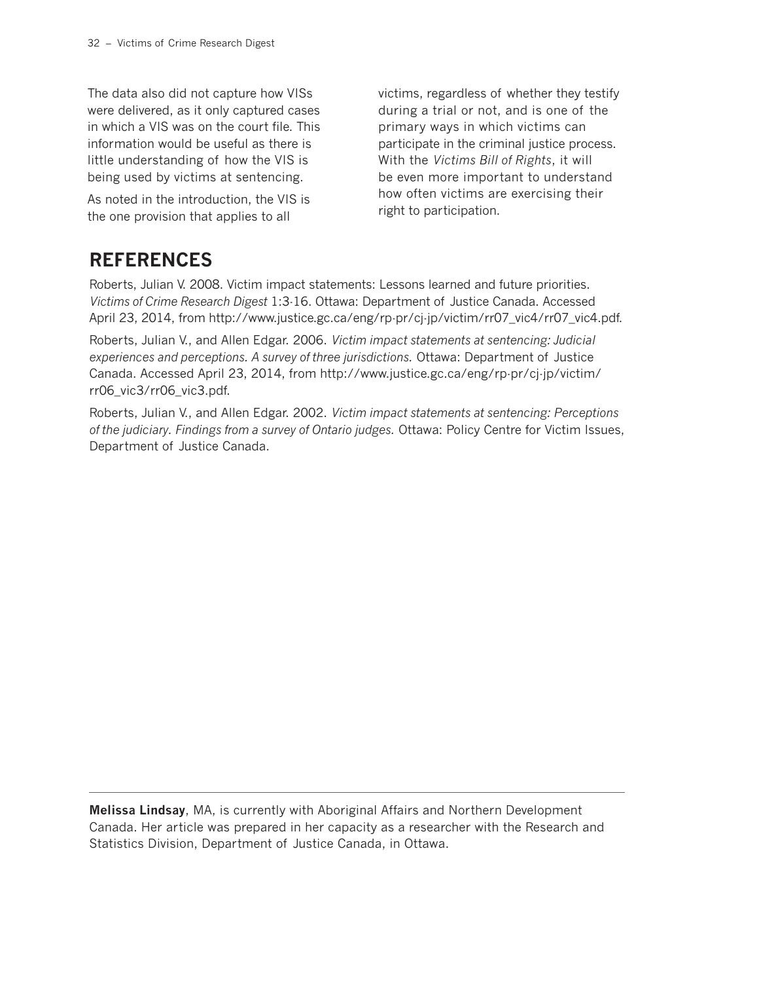The data also did not capture how VISs were delivered, as it only captured cases in which a VIS was on the court file. This information would be useful as there is little understanding of how the VIS is being used by victims at sentencing.

As noted in the introduction, the VIS is the one provision that applies to all

victims, regardless of whether they testify during a trial or not, and is one of the primary ways in which victims can participate in the criminal justice process. With the *Victims Bill of Rights*, it will be even more important to understand how often victims are exercising their right to participation.

### **REFERENCES**

Roberts, Julian V. 2008. Victim impact statements: Lessons learned and future priorities. *Victims of Crime Research Digest* 1:3-16. Ottawa: Department of Justice Canada. Accessed April 23, 2014, from http://www.justice.gc.ca/eng/rp-pr/cj-jp/victim/rr07\_vic4/rr07\_vic4.pdf.

Roberts, Julian V., and Allen Edgar. 2006. *Victim impact statements at sentencing: Judicial experiences and perceptions. A survey of three jurisdictions.* Ottawa: Department of Justice Canada. Accessed April 23, 2014, from http://www.justice.gc.ca/eng/rp-pr/cj-jp/victim/ rr06\_vic3/rr06\_vic3.pdf.

Roberts, Julian V., and Allen Edgar. 2002. *Victim impact statements at sentencing: Perceptions of the judiciary. Findings from a survey of Ontario judges.* Ottawa: Policy Centre for Victim Issues, Department of Justice Canada.

**Melissa Lindsay**, MA, is currently with Aboriginal Affairs and Northern Development Canada. Her article was prepared in her capacity as a researcher with the Research and Statistics Division, Department of Justice Canada, in Ottawa.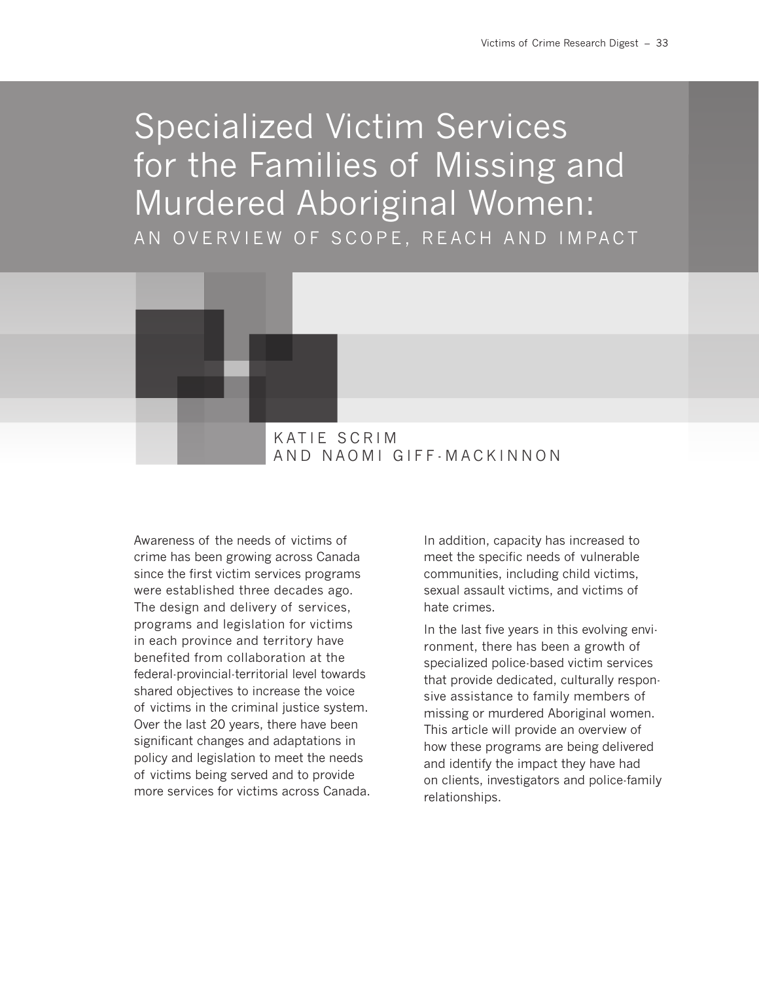# Specialized Victim Services for the Families of Missing and Murdered Aboriginal Women: AN OVERVIEW OF SCOPE, REACH AND IMPACT



Awareness of the needs of victims of crime has been growing across Canada since the first victim services programs were established three decades ago. The design and delivery of services, programs and legislation for victims in each province and territory have benefited from collaboration at the federal-provincial-territorial level towards shared objectives to increase the voice of victims in the criminal justice system. Over the last 20 years, there have been significant changes and adaptations in policy and legislation to meet the needs of victims being served and to provide more services for victims across Canada.

In addition, capacity has increased to meet the specific needs of vulnerable communities, including child victims, sexual assault victims, and victims of hate crimes.

In the last five years in this evolving environment, there has been a growth of specialized police-based victim services that provide dedicated, culturally responsive assistance to family members of missing or murdered Aboriginal women. This article will provide an overview of how these programs are being delivered and identify the impact they have had on clients, investigators and police-family relationships.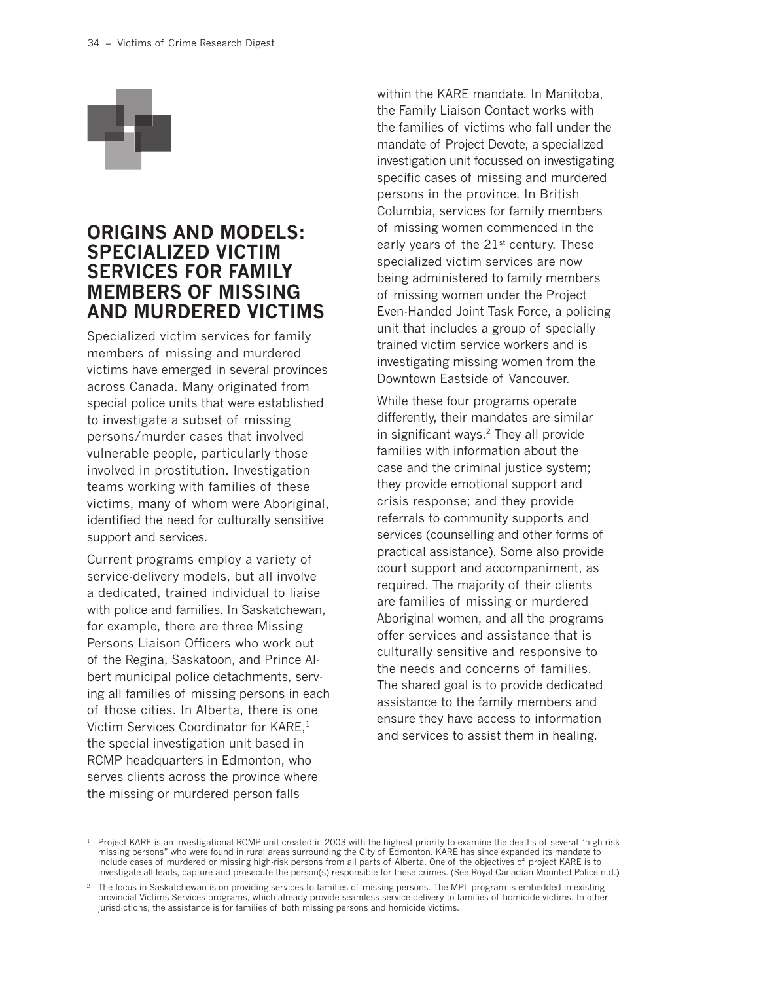

### **ORIGINS AND MODELS: SPECIALIZED VICTIM SERVICES FOR FAMILY MEMBERS OF MISSING AND MURDERED VICTIMS**

Specialized victim services for family members of missing and murdered victims have emerged in several provinces across Canada. Many originated from special police units that were established to investigate a subset of missing persons/murder cases that involved vulnerable people, particularly those involved in prostitution. Investigation teams working with families of these victims, many of whom were Aboriginal, identified the need for culturally sensitive support and services.

Current programs employ a variety of service-delivery models, but all involve a dedicated, trained individual to liaise with police and families. In Saskatchewan, for example, there are three Missing Persons Liaison Officers who work out of the Regina, Saskatoon, and Prince Albert municipal police detachments, serving all families of missing persons in each of those cities. In Alberta, there is one Victim Services Coordinator for KARE,1 the special investigation unit based in RCMP headquarters in Edmonton, who serves clients across the province where the missing or murdered person falls

within the KARE mandate. In Manitoba, the Family Liaison Contact works with the families of victims who fall under the mandate of Project Devote, a specialized investigation unit focussed on investigating specific cases of missing and murdered persons in the province. In British Columbia, services for family members of missing women commenced in the early years of the  $21^{st}$  century. These specialized victim services are now being administered to family members of missing women under the Project Even-Handed Joint Task Force, a policing unit that includes a group of specially trained victim service workers and is investigating missing women from the Downtown Eastside of Vancouver.

While these four programs operate differently, their mandates are similar in significant ways.2 They all provide families with information about the case and the criminal justice system; they provide emotional support and crisis response; and they provide referrals to community supports and services (counselling and other forms of practical assistance). Some also provide court support and accompaniment, as required. The majority of their clients are families of missing or murdered Aboriginal women, and all the programs offer services and assistance that is culturally sensitive and responsive to the needs and concerns of families. The shared goal is to provide dedicated assistance to the family members and ensure they have access to information and services to assist them in healing.

 $1$  Project KARE is an investigational RCMP unit created in 2003 with the highest priority to examine the deaths of several "high-risk" missing persons" who were found in rural areas surrounding the City of Edmonton. KARE has since expanded its mandate to include cases of murdered or missing high-risk persons from all parts of Alberta. One of the objectives of project KARE is to investigate all leads, capture and prosecute the person(s) responsible for these crimes. (See Royal Canadian Mounted Police n.d.)

<sup>&</sup>lt;sup>2</sup> The focus in Saskatchewan is on providing services to families of missing persons. The MPL program is embedded in existing provincial Victims Services programs, which already provide seamless service delivery to families of homicide victims. In other jurisdictions, the assistance is for families of both missing persons and homicide victims.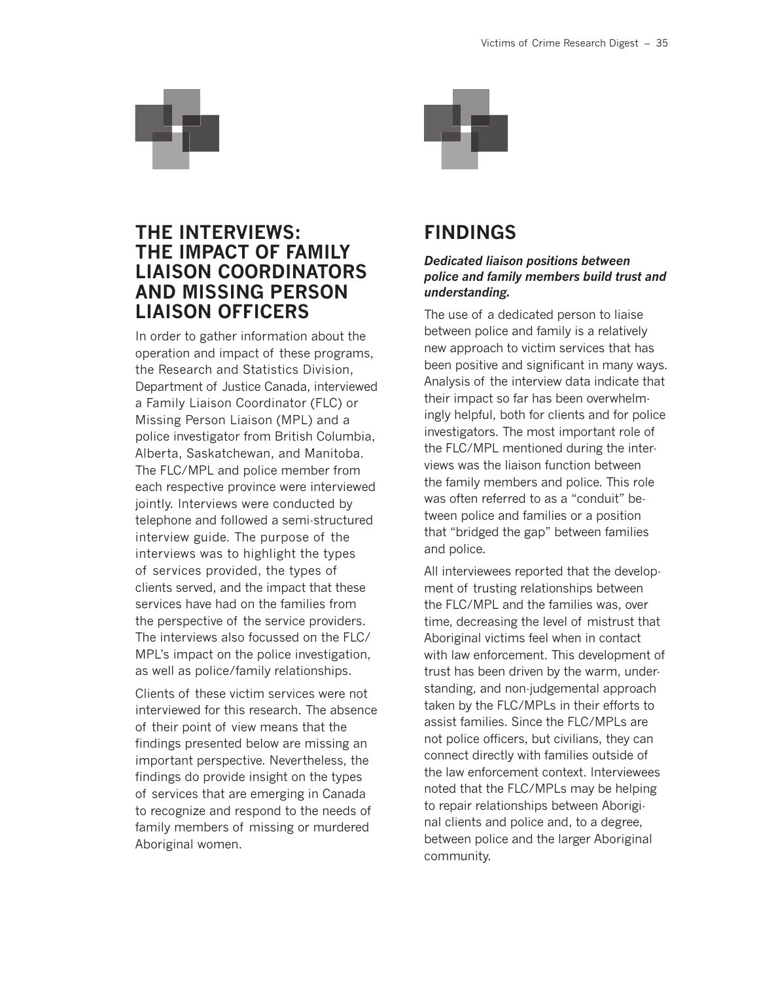

### **THE INTERVIEWS: THE IMPACT OF FAMILY LIAISON COORDINATORS AND MISSING PERSON LIAISON OFFICERS**

In order to gather information about the operation and impact of these programs, the Research and Statistics Division, Department of Justice Canada, interviewed a Family Liaison Coordinator (FLC) or Missing Person Liaison (MPL) and a police investigator from British Columbia, Alberta, Saskatchewan, and Manitoba. The FLC/MPL and police member from each respective province were interviewed jointly. Interviews were conducted by telephone and followed a semi-structured interview guide. The purpose of the interviews was to highlight the types of services provided, the types of clients served, and the impact that these services have had on the families from the perspective of the service providers. The interviews also focussed on the FLC/ MPL's impact on the police investigation, as well as police/family relationships.

Clients of these victim services were not interviewed for this research. The absence of their point of view means that the findings presented below are missing an important perspective. Nevertheless, the findings do provide insight on the types of services that are emerging in Canada to recognize and respond to the needs of family members of missing or murdered Aboriginal women.



### **FINDINGS**

#### *Dedicated liaison positions between police and family members build trust and understanding.*

The use of a dedicated person to liaise between police and family is a relatively new approach to victim services that has been positive and significant in many ways. Analysis of the interview data indicate that their impact so far has been overwhelmingly helpful, both for clients and for police investigators. The most important role of the FLC/MPL mentioned during the interviews was the liaison function between the family members and police. This role was often referred to as a "conduit" between police and families or a position that "bridged the gap" between families and police.

All interviewees reported that the development of trusting relationships between the FLC/MPL and the families was, over time, decreasing the level of mistrust that Aboriginal victims feel when in contact with law enforcement. This development of trust has been driven by the warm, understanding, and non-judgemental approach taken by the FLC/MPLs in their efforts to assist families. Since the FLC/MPLs are not police officers, but civilians, they can connect directly with families outside of the law enforcement context. Interviewees noted that the FLC/MPLs may be helping to repair relationships between Aboriginal clients and police and, to a degree, between police and the larger Aboriginal community.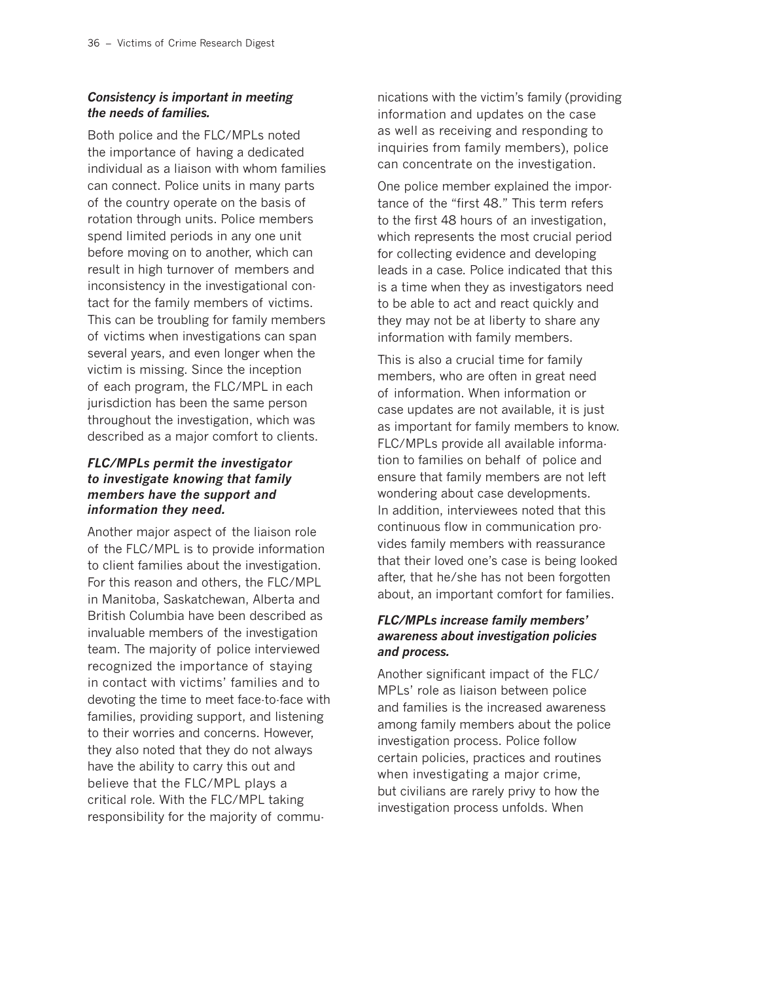### *Consistency is important in meeting the needs of families.*

Both police and the FLC/MPLs noted the importance of having a dedicated individual as a liaison with whom families can connect. Police units in many parts of the country operate on the basis of rotation through units. Police members spend limited periods in any one unit before moving on to another, which can result in high turnover of members and inconsistency in the investigational contact for the family members of victims. This can be troubling for family members of victims when investigations can span several years, and even longer when the victim is missing. Since the inception of each program, the FLC/MPL in each jurisdiction has been the same person throughout the investigation, which was described as a major comfort to clients.

### *FLC/MPLs permit the investigator to investigate knowing that family members have the support and information they need.*

Another major aspect of the liaison role of the FLC/MPL is to provide information to client families about the investigation. For this reason and others, the FLC/MPL in Manitoba, Saskatchewan, Alberta and British Columbia have been described as invaluable members of the investigation team. The majority of police interviewed recognized the importance of staying in contact with victims' families and to devoting the time to meet face-to-face with families, providing support, and listening to their worries and concerns. However, they also noted that they do not always have the ability to carry this out and believe that the FLC/MPL plays a critical role. With the FLC/MPL taking responsibility for the majority of commu-

nications with the victim's family (providing information and updates on the case as well as receiving and responding to inquiries from family members), police can concentrate on the investigation.

One police member explained the importance of the "first 48." This term refers to the first 48 hours of an investigation, which represents the most crucial period for collecting evidence and developing leads in a case. Police indicated that this is a time when they as investigators need to be able to act and react quickly and they may not be at liberty to share any information with family members.

This is also a crucial time for family members, who are often in great need of information. When information or case updates are not available, it is just as important for family members to know. FLC/MPLs provide all available information to families on behalf of police and ensure that family members are not left wondering about case developments. In addition, interviewees noted that this continuous flow in communication provides family members with reassurance that their loved one's case is being looked after, that he/she has not been forgotten about, an important comfort for families.

### *FLC/MPLs increase family members' awareness about investigation policies and process.*

Another significant impact of the FLC/ MPLs' role as liaison between police and families is the increased awareness among family members about the police investigation process. Police follow certain policies, practices and routines when investigating a major crime, but civilians are rarely privy to how the investigation process unfolds. When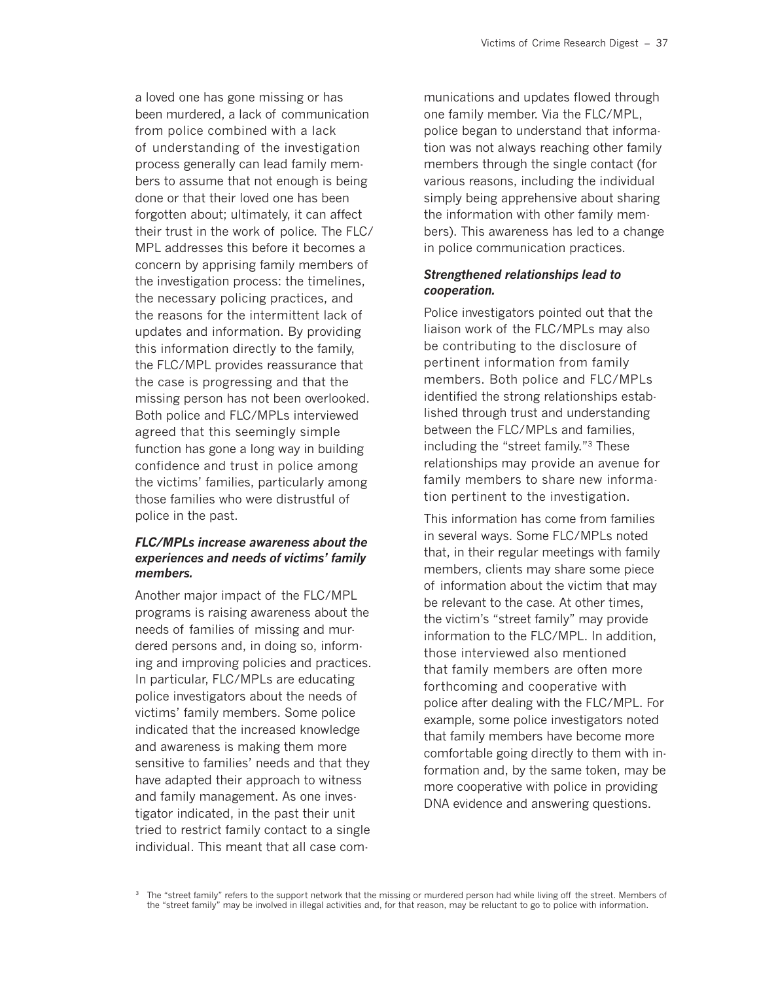a loved one has gone missing or has been murdered, a lack of communication from police combined with a lack of understanding of the investigation process generally can lead family members to assume that not enough is being done or that their loved one has been forgotten about; ultimately, it can affect their trust in the work of police. The FLC/ MPL addresses this before it becomes a concern by apprising family members of the investigation process: the timelines, the necessary policing practices, and the reasons for the intermittent lack of updates and information. By providing this information directly to the family, the FLC/MPL provides reassurance that the case is progressing and that the missing person has not been overlooked. Both police and FLC/MPLs interviewed agreed that this seemingly simple function has gone a long way in building confidence and trust in police among the victims' families, particularly among those families who were distrustful of police in the past.

#### *FLC/MPLs increase awareness about the experiences and needs of victims' family members.*

Another major impact of the FLC/MPL programs is raising awareness about the needs of families of missing and murdered persons and, in doing so, informing and improving policies and practices. In particular, FLC/MPLs are educating police investigators about the needs of victims' family members. Some police indicated that the increased knowledge and awareness is making them more sensitive to families' needs and that they have adapted their approach to witness and family management. As one investigator indicated, in the past their unit tried to restrict family contact to a single individual. This meant that all case com-

munications and updates flowed through one family member. Via the FLC/MPL, police began to understand that information was not always reaching other family members through the single contact (for various reasons, including the individual simply being apprehensive about sharing the information with other family members). This awareness has led to a change in police communication practices.

#### *Strengthened relationships lead to cooperation.*

Police investigators pointed out that the liaison work of the FLC/MPLs may also be contributing to the disclosure of pertinent information from family members. Both police and FLC/MPLs identified the strong relationships established through trust and understanding between the FLC/MPLs and families, including the "street family."3 These relationships may provide an avenue for family members to share new information pertinent to the investigation.

This information has come from families in several ways. Some FLC/MPLs noted that, in their regular meetings with family members, clients may share some piece of information about the victim that may be relevant to the case. At other times, the victim's "street family" may provide information to the FLC/MPL. In addition, those interviewed also mentioned that family members are often more forthcoming and cooperative with police after dealing with the FLC/MPL. For example, some police investigators noted that family members have become more comfortable going directly to them with information and, by the same token, may be more cooperative with police in providing DNA evidence and answering questions.

<sup>&</sup>lt;sup>3</sup> The "street family" refers to the support network that the missing or murdered person had while living off the street. Members of the "street family" may be involved in illegal activities and, for that reason, may be reluctant to go to police with information.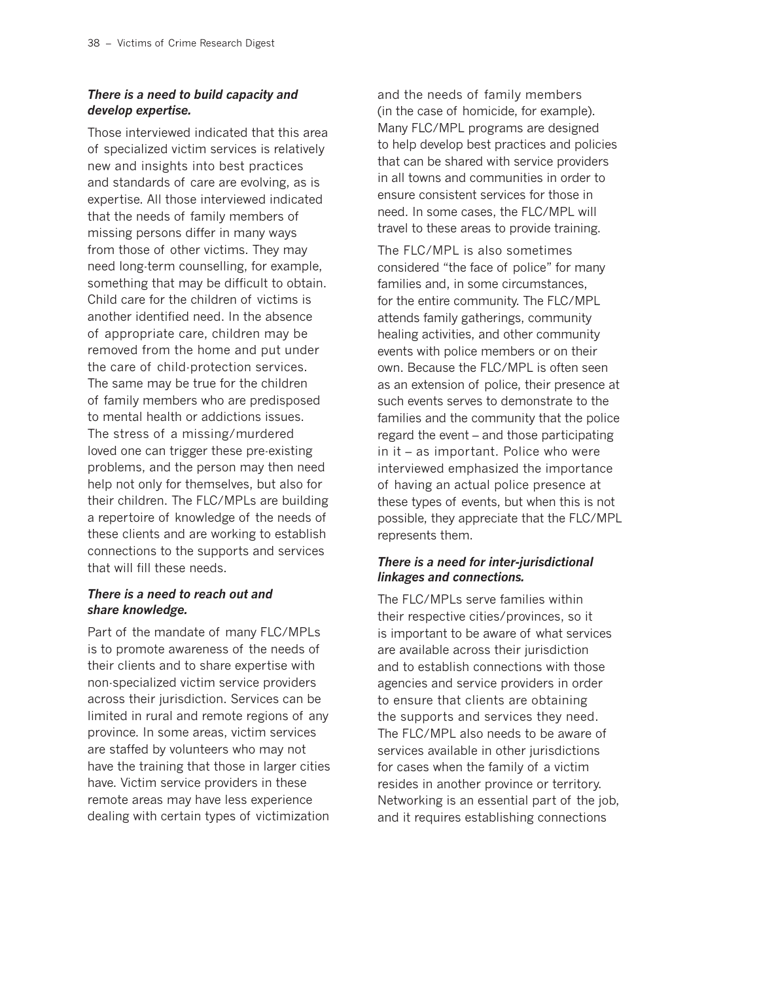### *There is a need to build capacity and develop expertise.*

Those interviewed indicated that this area of specialized victim services is relatively new and insights into best practices and standards of care are evolving, as is expertise. All those interviewed indicated that the needs of family members of missing persons differ in many ways from those of other victims. They may need long-term counselling, for example, something that may be difficult to obtain. Child care for the children of victims is another identified need. In the absence of appropriate care, children may be removed from the home and put under the care of child-protection services. The same may be true for the children of family members who are predisposed to mental health or addictions issues. The stress of a missing/murdered loved one can trigger these pre-existing problems, and the person may then need help not only for themselves, but also for their children. The FLC/MPLs are building a repertoire of knowledge of the needs of these clients and are working to establish connections to the supports and services that will fill these needs.

#### *There is a need to reach out and share knowledge.*

Part of the mandate of many FLC/MPLs is to promote awareness of the needs of their clients and to share expertise with non-specialized victim service providers across their jurisdiction. Services can be limited in rural and remote regions of any province. In some areas, victim services are staffed by volunteers who may not have the training that those in larger cities have. Victim service providers in these remote areas may have less experience dealing with certain types of victimization

and the needs of family members (in the case of homicide, for example). Many FLC/MPL programs are designed to help develop best practices and policies that can be shared with service providers in all towns and communities in order to ensure consistent services for those in need. In some cases, the FLC/MPL will travel to these areas to provide training.

The FLC/MPL is also sometimes considered "the face of police" for many families and, in some circumstances, for the entire community. The FLC/MPL attends family gatherings, community healing activities, and other community events with police members or on their own. Because the FLC/MPL is often seen as an extension of police, their presence at such events serves to demonstrate to the families and the community that the police regard the event – and those participating in it – as important. Police who were interviewed emphasized the importance of having an actual police presence at these types of events, but when this is not possible, they appreciate that the FLC/MPL represents them.

### *There is a need for inter-jurisdictional linkages and connections.*

The FLC/MPLs serve families within their respective cities/provinces, so it is important to be aware of what services are available across their jurisdiction and to establish connections with those agencies and service providers in order to ensure that clients are obtaining the supports and services they need. The FLC/MPL also needs to be aware of services available in other jurisdictions for cases when the family of a victim resides in another province or territory. Networking is an essential part of the job, and it requires establishing connections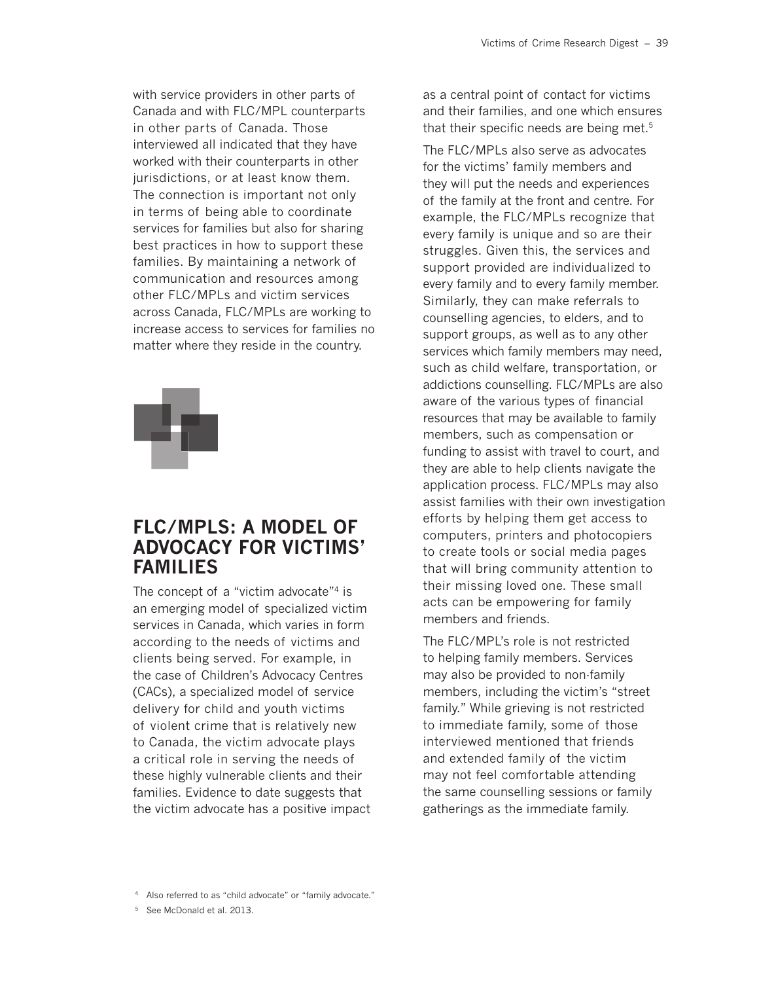with service providers in other parts of Canada and with FLC/MPL counterparts in other parts of Canada. Those interviewed all indicated that they have worked with their counterparts in other jurisdictions, or at least know them. The connection is important not only in terms of being able to coordinate services for families but also for sharing best practices in how to support these families. By maintaining a network of communication and resources among other FLC/MPLs and victim services across Canada, FLC/MPLs are working to increase access to services for families no matter where they reside in the country.



### **FLC/MPLS: A MODEL OF ADVOCACY FOR VICTIMS' FAMILIES**

The concept of a "victim advocate"<sup>4</sup> is an emerging model of specialized victim services in Canada, which varies in form according to the needs of victims and clients being served. For example, in the case of Children's Advocacy Centres (CACs), a specialized model of service delivery for child and youth victims of violent crime that is relatively new to Canada, the victim advocate plays a critical role in serving the needs of these highly vulnerable clients and their families. Evidence to date suggests that the victim advocate has a positive impact

as a central point of contact for victims and their families, and one which ensures that their specific needs are being met.5

The FLC/MPLs also serve as advocates for the victims' family members and they will put the needs and experiences of the family at the front and centre. For example, the FLC/MPLs recognize that every family is unique and so are their struggles. Given this, the services and support provided are individualized to every family and to every family member. Similarly, they can make referrals to counselling agencies, to elders, and to support groups, as well as to any other services which family members may need, such as child welfare, transportation, or addictions counselling. FLC/MPLs are also aware of the various types of financial resources that may be available to family members, such as compensation or funding to assist with travel to court, and they are able to help clients navigate the application process. FLC/MPLs may also assist families with their own investigation efforts by helping them get access to computers, printers and photocopiers to create tools or social media pages that will bring community attention to their missing loved one. These small acts can be empowering for family members and friends.

The FLC/MPL's role is not restricted to helping family members. Services may also be provided to non-family members, including the victim's "street family." While grieving is not restricted to immediate family, some of those interviewed mentioned that friends and extended family of the victim may not feel comfortable attending the same counselling sessions or family gatherings as the immediate family.

<sup>4</sup> Also referred to as "child advocate" or "family advocate."

<sup>5</sup> See McDonald et al. 2013.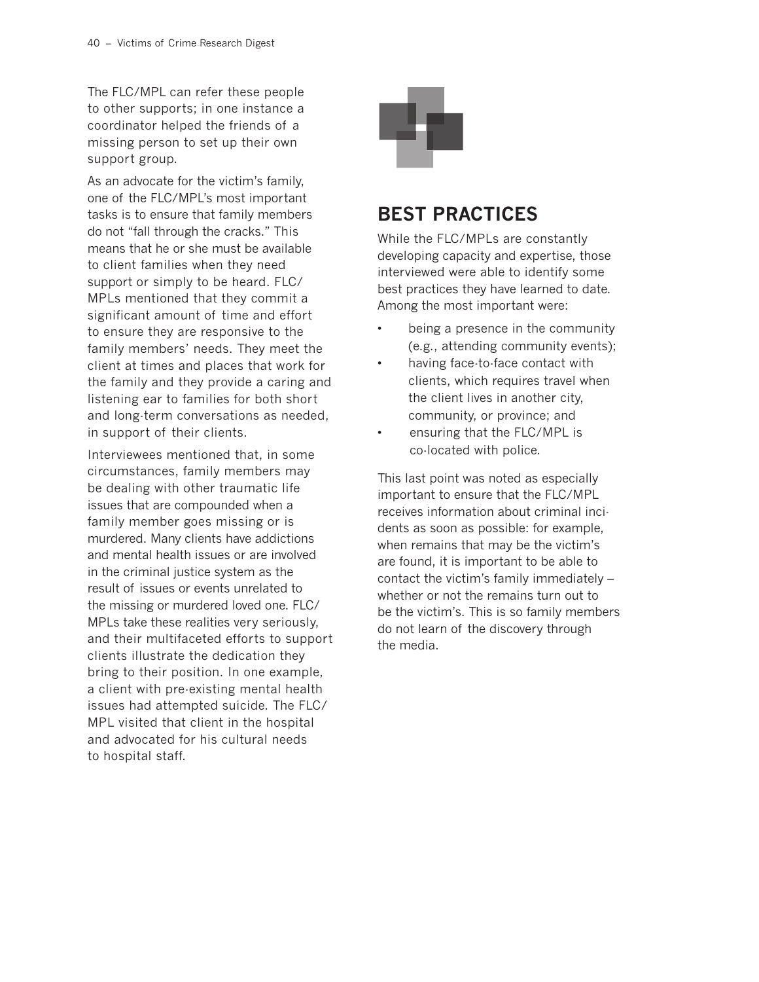The FLC/MPL can refer these people to other supports; in one instance a coordinator helped the friends of a missing person to set up their own support group.

As an advocate for the victim's family, one of the FLC/MPL's most important tasks is to ensure that family members do not "fall through the cracks." This means that he or she must be available to client families when they need support or simply to be heard. FLC/ MPLs mentioned that they commit a significant amount of time and effort to ensure they are responsive to the family members' needs. They meet the client at times and places that work for the family and they provide a caring and listening ear to families for both short and long-term conversations as needed, in support of their clients.

Interviewees mentioned that, in some circumstances, family members may be dealing with other traumatic life issues that are compounded when a family member goes missing or is murdered. Many clients have addictions and mental health issues or are involved in the criminal justice system as the result of issues or events unrelated to the missing or murdered loved one. FLC/ MPLs take these realities very seriously, and their multifaceted efforts to support clients illustrate the dedication they bring to their position. In one example, a client with pre-existing mental health issues had attempted suicide. The FLC/ MPL visited that client in the hospital and advocated for his cultural needs to hospital staff.



### **BEST PRACTICES**

While the FLC/MPLs are constantly developing capacity and expertise, those interviewed were able to identify some best practices they have learned to date. Among the most important were:

- being a presence in the community (e.g., attending community events);
- having face-to-face contact with clients, which requires travel when the client lives in another city, community, or province; and
- ensuring that the FLC/MPL is co-located with police.

This last point was noted as especially important to ensure that the FLC/MPL receives information about criminal incidents as soon as possible: for example, when remains that may be the victim's are found, it is important to be able to contact the victim's family immediately – whether or not the remains turn out to be the victim's. This is so family members do not learn of the discovery through the media.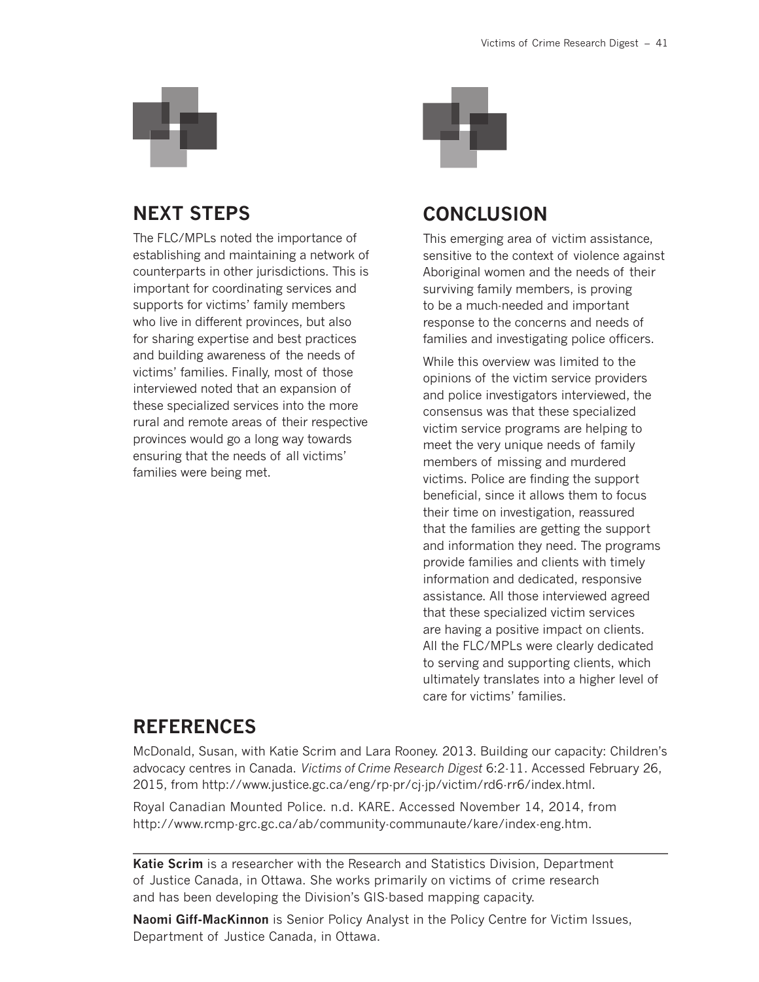

### **NEXT STEPS**

The FLC/MPLs noted the importance of establishing and maintaining a network of counterparts in other jurisdictions. This is important for coordinating services and supports for victims' family members who live in different provinces, but also for sharing expertise and best practices and building awareness of the needs of victims' families. Finally, most of those interviewed noted that an expansion of these specialized services into the more rural and remote areas of their respective provinces would go a long way towards ensuring that the needs of all victims' families were being met.



### **CONCLUSION**

This emerging area of victim assistance, sensitive to the context of violence against Aboriginal women and the needs of their surviving family members, is proving to be a much-needed and important response to the concerns and needs of families and investigating police officers.

While this overview was limited to the opinions of the victim service providers and police investigators interviewed, the consensus was that these specialized victim service programs are helping to meet the very unique needs of family members of missing and murdered victims. Police are finding the support beneficial, since it allows them to focus their time on investigation, reassured that the families are getting the support and information they need. The programs provide families and clients with timely information and dedicated, responsive assistance. All those interviewed agreed that these specialized victim services are having a positive impact on clients. All the FLC/MPLs were clearly dedicated to serving and supporting clients, which ultimately translates into a higher level of care for victims' families.

### **REFERENCES**

McDonald, Susan, with Katie Scrim and Lara Rooney. 2013. Building our capacity: Children's advocacy centres in Canada. *Victims of Crime Research Digest* 6:2-11. Accessed February 26, 2015, from http://www.justice.gc.ca/eng/rp-pr/cj-jp/victim/rd6-rr6/index.html.

Royal Canadian Mounted Police. n.d. KARE. Accessed November 14, 2014, from http://www.rcmp-grc.gc.ca/ab/community-communaute/kare/index-eng.htm.

**Katie Scrim** is a researcher with the Research and Statistics Division, Department of Justice Canada, in Ottawa. She works primarily on victims of crime research and has been developing the Division's GIS-based mapping capacity.

**Naomi Giff-MacKinnon** is Senior Policy Analyst in the Policy Centre for Victim Issues, Department of Justice Canada, in Ottawa.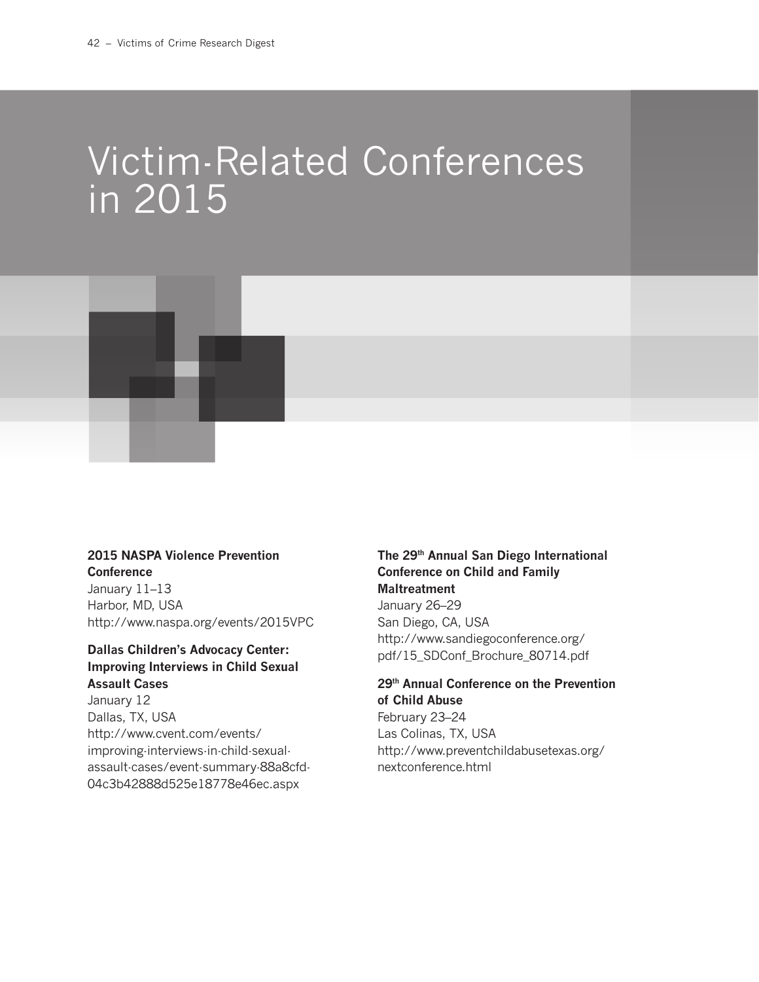# Victim-Related Conferences in 2015



### **2015 NASPA Violence Prevention**

**Conference** January 11–13 Harbor, MD, USA http://www.naspa.org/events/2015VPC

#### **Dallas Children's Advocacy Center: Improving Interviews in Child Sexual Assault Cases**

January 12 Dallas, TX, USA http://www.cvent.com/events/ improving-interviews-in-child-sexualassault-cases/event-summary-88a8cfd-04c3b42888d525e18778e46ec.aspx

### **The 29th Annual San Diego International Conference on Child and Family Maltreatment**

January 26–29 San Diego, CA, USA http://www.sandiegoconference.org/ pdf/15\_SDConf\_Brochure\_80714.pdf

### **29th Annual Conference on the Prevention of Child Abuse**

February 23–24 Las Colinas, TX, USA http://www.preventchildabusetexas.org/ nextconference.html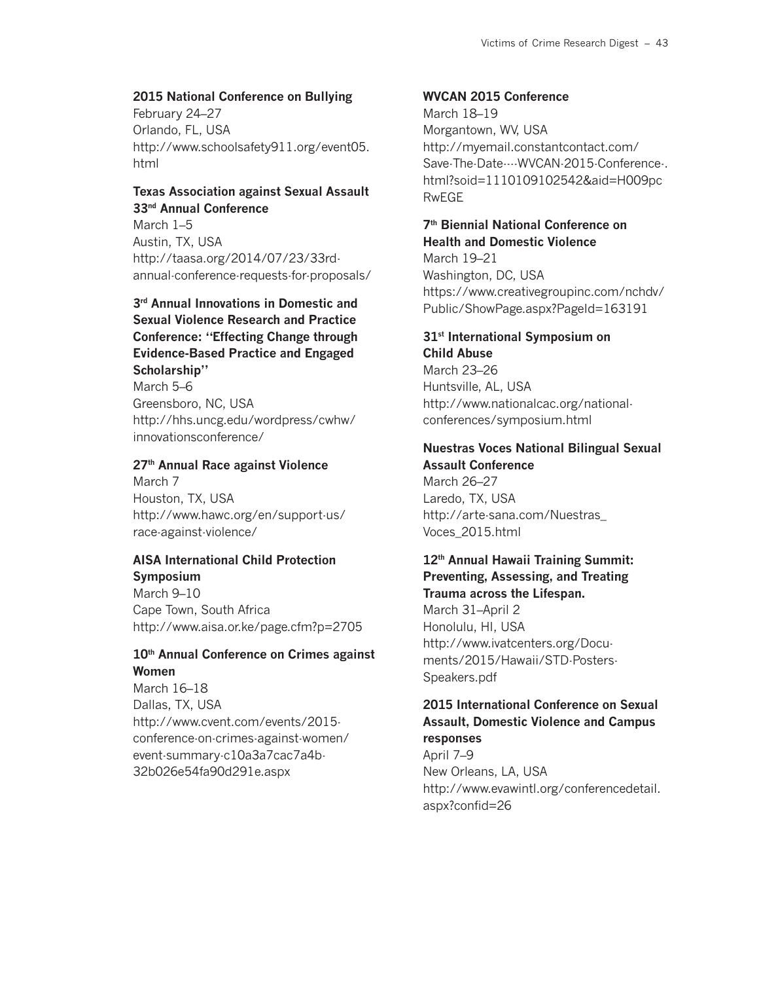### **2015 National Conference on Bullying**

February 24–27 Orlando, FL, USA http://www.schoolsafety911.org/event05. html

### **Texas Association against Sexual Assault 33nd Annual Conference**

March 1–5 Austin, TX, USA http://taasa.org/2014/07/23/33rdannual-conference-requests-for-proposals/

### **3rd Annual Innovations in Domestic and Sexual Violence Research and Practice Conference: "Effecting Change through Evidence-Based Practice and Engaged Scholarship"**

March 5–6 Greensboro, NC, USA http://hhs.uncg.edu/wordpress/cwhw/ innovationsconference/

### **27th Annual Race against Violence**

March 7 Houston, TX, USA http://www.hawc.org/en/support-us/ race-against-violence/

### **AISA International Child Protection**

**Symposium** March 9–10 Cape Town, South Africa http://www.aisa.or.ke/page.cfm?p=2705

### **10th Annual Conference on Crimes against Women**

March 16–18 Dallas, TX, USA http://www.cvent.com/events/2015 conference-on-crimes-against-women/ event-summary-c10a3a7cac7a4b-32b026e54fa90d291e.aspx

#### **WVCAN 2015 Conference**

March 18–19 Morgantown, WV, USA http://myemail.constantcontact.com/ Save-The-Date----WVCAN-2015-Conference-. html?soid=1110109102542&aid=H009pc RwEGE

### **7th Biennial National Conference on Health and Domestic Violence**

March 19–21 Washington, DC, USA https://www.creativegroupinc.com/nchdv/ Public/ShowPage.aspx?PageId=163191

### **31st International Symposium on**

**Child Abuse** March 23–26 Huntsville, AL, USA http://www.nationalcac.org/nationalconferences/symposium.html

#### **Nuestras Voces National Bilingual Sexual Assault Conference**

March 26–27 Laredo, TX, USA http://arte-sana.com/Nuestras\_ Voces\_2015.html

### **12th Annual Hawaii Training Summit: Preventing, Assessing, and Treating Trauma across the Lifespan.**

March 31–April 2 Honolulu, HI, USA http://www.ivatcenters.org/Documents/2015/Hawaii/STD-Posters-Speakers.pdf

#### **2015 International Conference on Sexual Assault, Domestic Violence and Campus responses**

April 7–9 New Orleans, LA, USA http://www.evawintl.org/conferencedetail. aspx?confid=26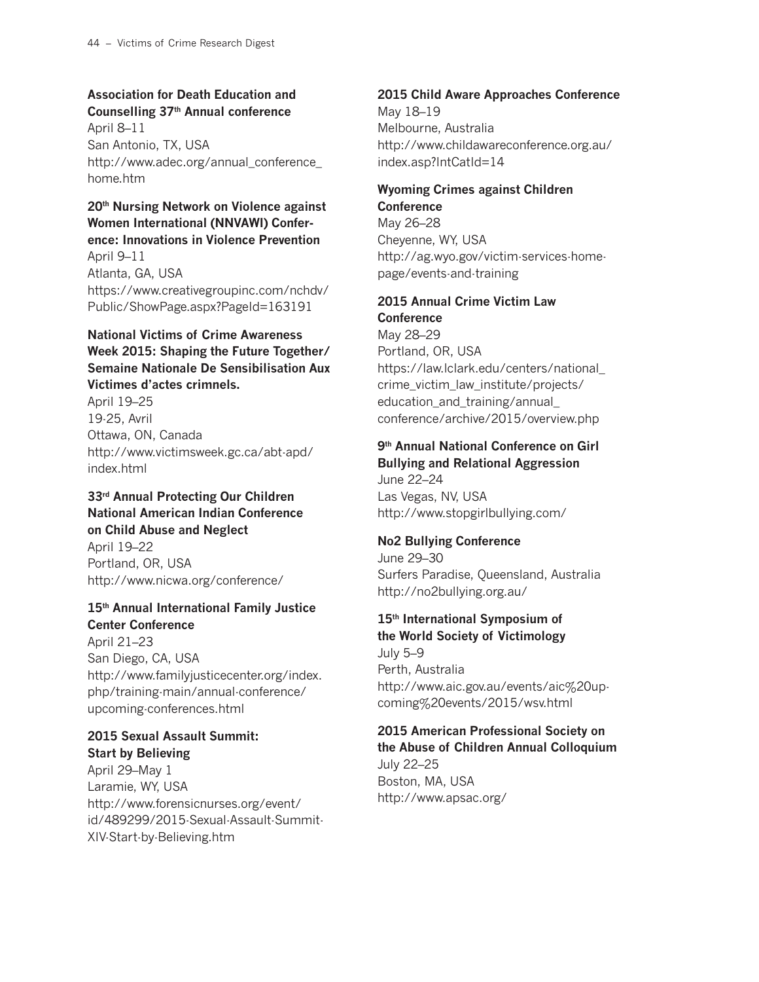### **Association for Death Education and Counselling 37th Annual conference**

April 8–11 San Antonio, TX, USA http://www.adec.org/annual\_conference\_ home.htm

### **20th Nursing Network on Violence against Women International (NNVAWI) Conference: Innovations in Violence Prevention**

April 9–11 Atlanta, GA, USA https://www.creativegroupinc.com/nchdv/ Public/ShowPage.aspx?PageId=163191

### **National Victims of Crime Awareness Week 2015: Shaping the Future Together/ Semaine Nationale De Sensibilisation Aux Victimes d'actes crimnels.**

April 19–25 19-25, Avril Ottawa, ON, Canada http://www.victimsweek.gc.ca/abt-apd/ index.html

**33rd Annual Protecting Our Children National American Indian Conference on Child Abuse and Neglect** April 19–22 Portland, OR, USA http://www.nicwa.org/conference/

### **15th Annual International Family Justice Center Conference**

April 21–23 San Diego, CA, USA http://www.familyjusticecenter.org/index. php/training-main/annual-conference/ upcoming-conferences.html

### **2015 Sexual Assault Summit: Start by Believing**

April 29–May 1 Laramie, WY, USA http://www.forensicnurses.org/event/ id/489299/2015-Sexual-Assault-Summit-XIV-Start-by-Believing.htm

### **2015 Child Aware Approaches Conference**

May 18–19 Melbourne, Australia http://www.childawareconference.org.au/ index.asp?IntCatId=14

#### **Wyoming Crimes against Children Conference**

May 26–28 Cheyenne, WY, USA http://ag.wyo.gov/victim-services-homepage/events-and-training

### **2015 Annual Crime Victim Law Conference**

May 28–29 Portland, OR, USA https://law.lclark.edu/centers/national\_ crime\_victim\_law\_institute/projects/ education and training/annual conference/archive/2015/overview.php

### **9th Annual National Conference on Girl Bullying and Relational Aggression**

June 22–24 Las Vegas, NV, USA http://www.stopgirlbullying.com/

### **No2 Bullying Conference**

June 29–30 Surfers Paradise, Queensland, Australia http://no2bullying.org.au/

### **15th International Symposium of the World Society of Victimology**

July 5–9 Perth, Australia http://www.aic.gov.au/events/aic%20upcoming%20events/2015/wsv.html

### **2015 American Professional Society on the Abuse of Children Annual Colloquium**

July 22–25 Boston, MA, USA http://www.apsac.org/